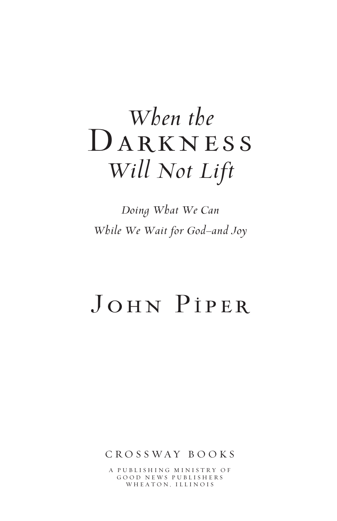# *When the* DARKNESS *Will Not Lift*

*Doing What We Can While We Wait for God—and Joy* 

# John Piper

CROSSWAY B O OKS

A PUBLISHING MINISTRY OF GOOD NEWS PUBLISHERS WHEATON, ILLINOIS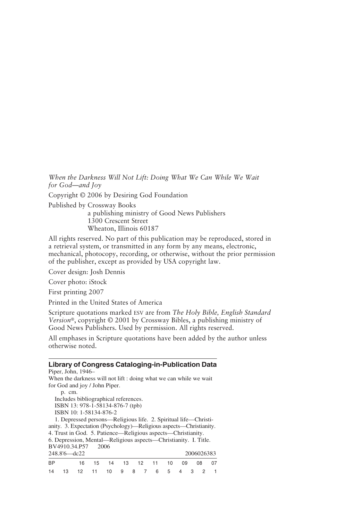When the Darkness Will Not Lift: Doing What We Can While We Wait *for God—and Joy* 

Copyright © 2006 by Desiring God Foundation

Published by Crossway Books

a publishing ministry of Good News Publishers 1300 Crescent Street Wheaton, Illinois 60187

All rights reserved. No part of this publication may be reproduced, stored in a retrieval system, or transmitted in any form by any means, electronic, mechanical, photocopy, recording, or otherwise, without the prior permission of the publisher, except as provided by USA copyright law.

Cover design: Josh Dennis

Cover photo: iStock

First printing 2007

Printed in the United States of America

Scripture quotations marked ESV are from *The Holy Bible, English Standard Version*®, copyright © 2001 by Crossway Bibles, a publishing ministry of Good News Publishers. Used by permission. All rights reserved.

All emphases in Scripture quotations have been added by the author unless otherwise noted.

#### **Library of Congress Cataloging-in-Publication Data**

Piper, John, 1946– When the darkness will not lift : doing what we can while we wait for God and joy / John Piper.

p. cm. Includes bibliographical references. ISBN 13: 978-1-58134-876-7 (tpb) ISBN 10: 1-58134-876-2

1. Depressed persons—Religious life. 2. Spiritual life—Christianity. 3. Expectation (Psychology)—Religious aspects—Christianity. 4. Trust in God. 5. Patience—Religious aspects—Christianity. 6. Depression, Mental—Religious aspects—Christianity. I. Title. BV4910.34.P57

| 248.8'6-dc22 |      |                          |                            |  |  |  |  |  |  | 2006026383 |  |      |  |
|--------------|------|--------------------------|----------------------------|--|--|--|--|--|--|------------|--|------|--|
| <b>BP</b>    |      |                          | 16 15 14 13 12 11 10 09 08 |  |  |  |  |  |  |            |  | - 07 |  |
| 14           | - 13 | 12 11 10 9 8 7 6 5 4 3 2 |                            |  |  |  |  |  |  |            |  |      |  |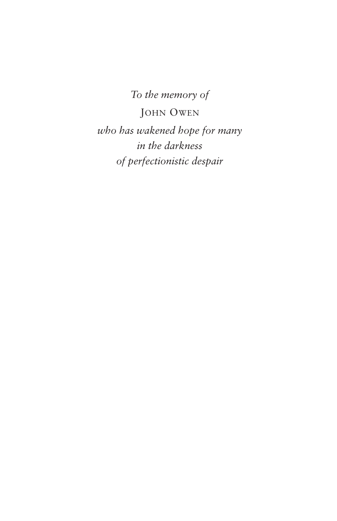*To the memory of*  JOHN OWEN *who has wakened hope for many in the darkness of perfectionistic despair*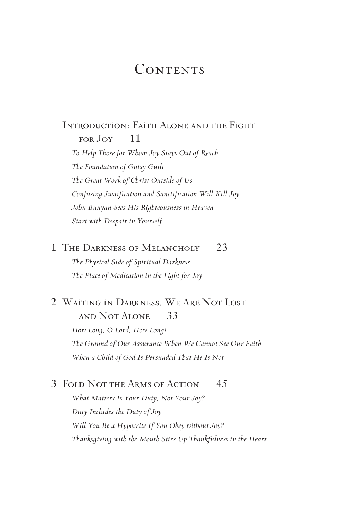#### **CONTENTS**

#### Introduction: Faith Alone and the Fight FOR JOY 11

*To Help Those for Whom Joy Stays Out of Reach The Foundation of Gutsy Guilt The Great Work of Christ Outside of Us Confusing Justification and Sanctification Will Kill Joy John Bunyan Sees His Righteousness in Heaven Start with Despair in Yourself* 

1 The Darkness of Melancholy 23 *The Physical Side of Spiritual Darkness The Place of Medication in the Fight for Joy* 

#### 2 Waiting in Darkness, We Are Not Lost and Not Alone 33

*How Long, O Lord, How Long! The Ground of Our Assurance When We Cannot See Our Faith When a Child of God Is Persuaded That He Is Not* 

#### 3 FOLD NOT THE ARMS OF ACTION 45

*What Matters Is Your Duty, Not Your Joy? Duty Includes the Duty of Joy Will You Be a Hypocrite If You Obey without Joy? Thanksgiving with the Mouth Stirs Up Thankfulness in the Heart*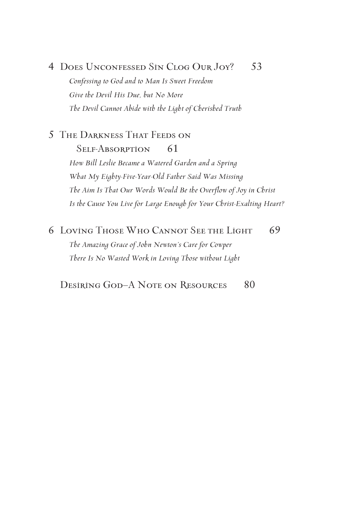#### 4 Does Unconfessed Sin Clog Our Joy? 53

*Confessing to God and to Man Is Sweet Freedom Give the Devil His Due, but No More The Devil Cannot Abide with the Light of Cherished Truth* 

#### 5 The Darkness That Feeds on Self-Absorption 61 *How Bill Leslie Became a Watered Garden and a Spring What My Eighty-Five-Year-Old Father Said Was Missing The Aim Is That Our Words Would Be the Overflow of Joy in Christ Is the Cause You Live for Large Enough for Your Christ-Exalting Heart?*

6 LOVING THOSE WHO CANNOT SEE THE LIGHT 69

*The Amazing Grace of John Newton's Care for Cowper There Is No Wasted Work in Loving Those without Light* 

Desiring God–A Note on Resources 80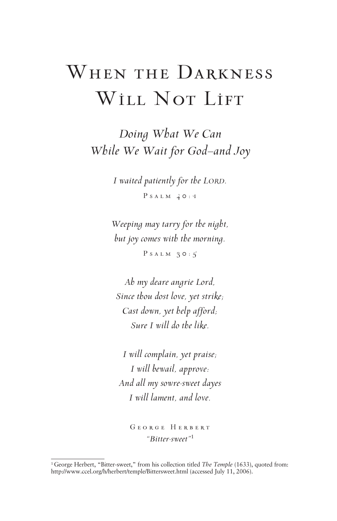### WHEN THE DARKNESS WILL NOT LIFT

*Doing What We Can While We Wait for God—and Joy* 

> *I waited patiently for the LORD.*  Psalm 40:1

*Weeping may tarry for the night, but joy comes with the morning.*  PSALM  $30:5$ 

*Ah my deare angrie Lord, Since thou dost love, yet strike; Cast down, yet help afford; Sure I will do the like.* 

*I will complain, yet praise; I will bewail, approve: And all my sowre-sweet dayes I will lament, and love.* 

George Herbert *"Bitter-sweet"*<sup>1</sup>

<sup>&</sup>lt;sup>1</sup> George Herbert, "Bitter-sweet," from his collection titled *The Temple* (1633), quoted from: http://www.ccel.org/h/herbert/temple/Bittersweet.html (accessed July 11, 2006).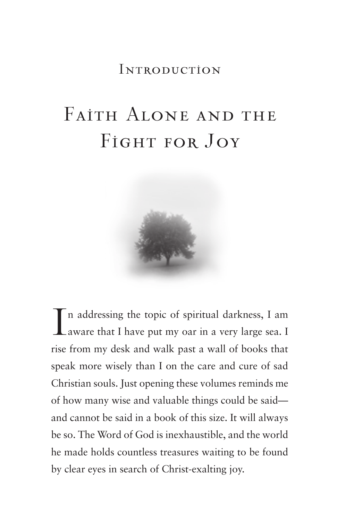### **INTRODUCTION**

## Faith Alone and the FIGHT FOR JOY



I n addressing the topic of spiritual darkness, I am aware that I have put my oar in a very large sea. I rise from my desk and walk past a wall of books that speak more wisely than I on the care and cure of sad Christian souls. Just opening these volumes reminds me of how many wise and valuable things could be said and cannot be said in a book of this size. It will always be so. The Word of God is inexhaustible, and the world he made holds countless treasures waiting to be found by clear eyes in search of Christ-exalting joy.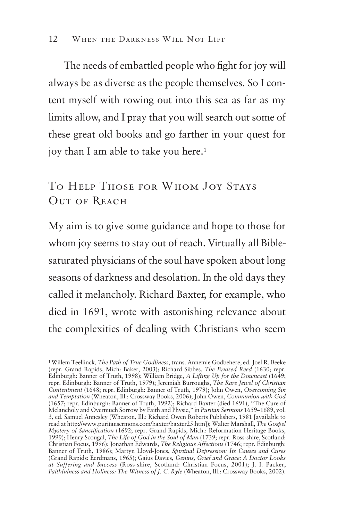The needs of embattled people who fight for joy will always be as diverse as the people themselves. So I content myself with rowing out into this sea as far as my limits allow, and I pray that you will search out some of these great old books and go farther in your quest for joy than I am able to take you here.<sup>1</sup>

#### To Help Those for Whom Joy Stays Out of Reach

My aim is to give some guidance and hope to those for whom joy seems to stay out of reach. Virtually all Biblesaturated physicians of the soul have spoken about long seasons of darkness and desolation. In the old days they called it melancholy. Richard Baxter, for example, who died in 1691, wrote with astonishing relevance about the complexities of dealing with Christians who seem

<sup>1</sup> Willem Teellinck*, The Path of True Godliness*, trans. Annemie Godbehere, ed. Joel R. Beeke (repr. Grand Rapids, Mich: Baker, 2003); Richard Sibbes, *The Bruised Reed* (1630; repr. Edinburgh: Banner of Truth, 1998); William Bridge, *A Lifting Up for the Downcast* (1649; repr. Edinburgh: Banner of Truth, 1979); Jeremiah Burroughs, *The Rare Jewel of Christian Contentment* (1648; repr. Edinburgh: Banner of Truth, 1979); John Owen, *Overcoming Sin and Temptation* (Wheaton, Ill.: Crossway Books, 2006); John Owen, *Communion with God*  (1657; repr. Edinburgh: Banner of Truth, 1992); Richard Baxter (died 1691), "The Cure of Melancholy and Overmuch Sorrow by Faith and Physic," in *Puritan Sermons* 1659–1689, vol. 3, ed. Samuel Annesley (Wheaton, Ill.: Richard Owen Roberts Publishers, 1981 [available to read at http://www.puritansermons.com/baxter/baxter25.htm]); Walter Marshall, *The Gospel Mystery of Sanctification* (1692; repr. Grand Rapids, Mich.: Reformation Heritage Books, 1999); Henry Scougal, *The Life of God in the Soul of Man* (1739; repr. Ross-shire, Scotland: Christian Focus, 1996); Jonathan Edwards, *The Religious Affections* (1746; repr. Edinburgh: Banner of Truth, 1986); Martyn Lloyd-Jones, *Spiritual Depression: Its Causes and Cures*  (Grand Rapids: Eerdmans, 1965); Gaius Davies, *Genius, Grief and Grace: A Doctor Looks at Suffering and Success* (Ross-shire, Scotland: Christian Focus, 2001); J. I. Packer, Faithfulness and Holiness: The Witness of J. C. Ryle (Wheaton, Ill.: Crossway Books, 2002).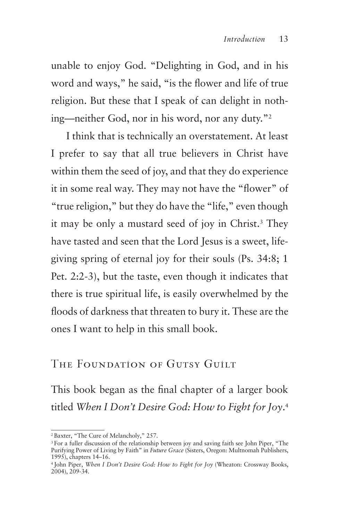unable to enjoy God. "Delighting in God, and in his word and ways," he said, "is the flower and life of true religion. But these that I speak of can delight in nothing—neither God, nor in his word, nor any duty."2

I think that is technically an overstatement. At least I prefer to say that all true believers in Christ have within them the seed of joy, and that they do experience it in some real way. They may not have the "flower" of "true religion," but they do have the "life," even though it may be only a mustard seed of joy in Christ.3 They have tasted and seen that the Lord Jesus is a sweet, lifegiving spring of eternal joy for their souls (Ps. 34:8; 1 Pet. 2:2-3), but the taste, even though it indicates that there is true spiritual life, is easily overwhelmed by the floods of darkness that threaten to bury it. These are the ones I want to help in this small book.

#### The Foundation of Gutsy Guilt

This book began as the final chapter of a larger book titled *When I Don't Desire God: How to Fight for Joy*. 4

<sup>2</sup> Baxter, "The Cure of Melancholy," 257.

<sup>3</sup> For a fuller discussion of the relationship between joy and saving faith see John Piper, "The Purifying Power of Living by Faith" in *Future Grace* (Sisters, Oregon: Multnomah Publishers, 1995), chapters 14–16.

<sup>4</sup> John Piper, *When I Don't Desire God: How to Fight for Joy* (Wheaton: Crossway Books, 2004), 209-34.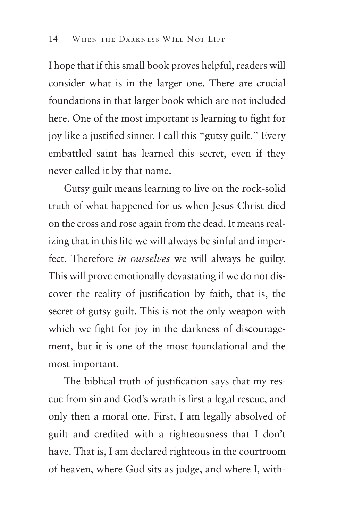I hope that if this small book proves helpful, readers will consider what is in the larger one. There are crucial foundations in that larger book which are not included here. One of the most important is learning to fight for joy like a justified sinner. I call this "gutsy guilt." Every embattled saint has learned this secret, even if they never called it by that name.

Gutsy guilt means learning to live on the rock-solid truth of what happened for us when Jesus Christ died on the cross and rose again from the dead. It means realizing that in this life we will always be sinful and imperfect. Therefore *in ourselves* we will always be guilty. This will prove emotionally devastating if we do not discover the reality of justification by faith, that is, the secret of gutsy guilt. This is not the only weapon with which we fight for joy in the darkness of discouragement, but it is one of the most foundational and the most important.

The biblical truth of justification says that my rescue from sin and God's wrath is first a legal rescue, and only then a moral one. First, I am legally absolved of guilt and credited with a righteousness that I don't have. That is, I am declared righteous in the courtroom of heaven, where God sits as judge, and where I, with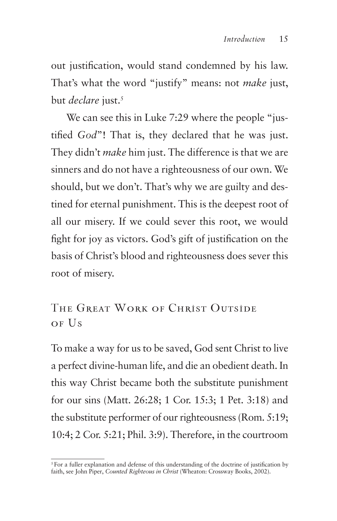out justification, would stand condemned by his law. That's what the word "justify" means: not *make* just, but *declare* just.<sup>5</sup>

We can see this in Luke 7:29 where the people "justified *God*"! That is, they declared that he was just. They didn't *make* him just. The difference is that we are sinners and do not have a righteousness of our own. We should, but we don't. That's why we are guilty and destined for eternal punishment. This is the deepest root of all our misery. If we could sever this root, we would fight for joy as victors. God's gift of justification on the basis of Christ's blood and righteousness does sever this root of misery.

The Great Work of Christ Outside of Us

To make a way for us to be saved, God sent Christ to live a perfect divine-human life, and die an obedient death. In this way Christ became both the substitute punishment for our sins (Matt. 26:28; 1 Cor. 15:3; 1 Pet. 3:18) and the substitute performer of our righteousness (Rom. 5:19; 10:4; 2 Cor. 5:21; Phil. 3:9). Therefore, in the courtroom

<sup>&</sup>lt;sup>5</sup> For a fuller explanation and defense of this understanding of the doctrine of justification by faith, see John Piper, *Counted Righteous in Christ* (Wheaton: Crossway Books, 2002).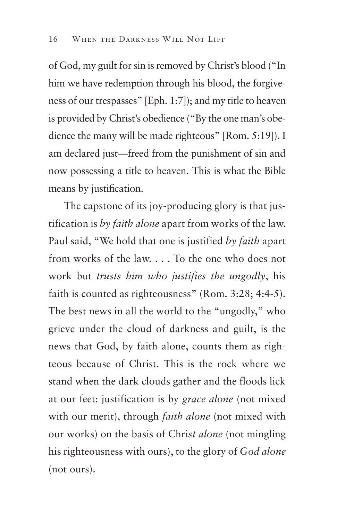of God, my guilt for sin is removed by Christ's blood ("In him we have redemption through his blood, the forgiveness of our trespasses" [Eph. 1:7]); and my title to heaven is provided by Christ's obedience ("By the one man's obedience the many will be made righteous" [Rom. 5:19]). I am declared just—freed from the punishment of sin and now possessing a title to heaven. This is what the Bible means by justification.

The capstone of its joy-producing glory is that justification is *by faith alone* apart from works of the law. Paul said, "We hold that one is justified *by faith* apart from works of the law. . . . To the one who does not work but *trusts him who justifies the ungodly*, his faith is counted as righteousness" (Rom. 3:28; 4:4-5). The best news in all the world to the "ungodly," who grieve under the cloud of darkness and guilt, is the news that God, by faith alone, counts them as righteous because of Christ. This is the rock where we stand when the dark clouds gather and the floods lick at our feet: justification is by *grace alone* (not mixed with our merit), through *faith alone* (not mixed with our works) on the basis of Chri*st alone* (not mingling his righteousness with ours), to the glory of *God alone*  (not ours).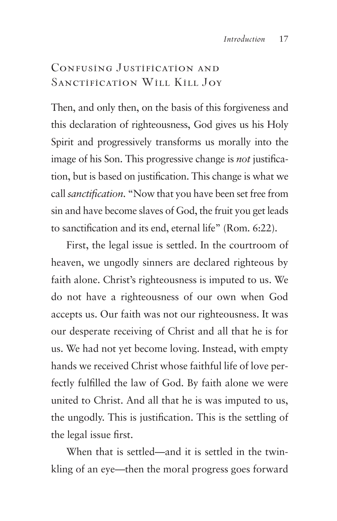### CONFUSING JUSTIFICATION AND SANCTIFICATION WILL KILL JOY

Then, and only then, on the basis of this forgiveness and this declaration of righteousness, God gives us his Holy Spirit and progressively transforms us morally into the image of his Son. This progressive change is *not* justification, but is based on justification. This change is what we call *sanctification*. "Now that you have been set free from sin and have become slaves of God, the fruit you get leads to sanctification and its end, eternal life" (Rom. 6:22).

First, the legal issue is settled. In the courtroom of heaven, we ungodly sinners are declared righteous by faith alone. Christ's righteousness is imputed to us. We do not have a righteousness of our own when God accepts us. Our faith was not our righteousness. It was our desperate receiving of Christ and all that he is for us. We had not yet become loving. Instead, with empty hands we received Christ whose faithful life of love perfectly fulfilled the law of God. By faith alone we were united to Christ. And all that he is was imputed to us, the ungodly. This is justification. This is the settling of the legal issue first.

When that is settled—and it is settled in the twinkling of an eye—then the moral progress goes forward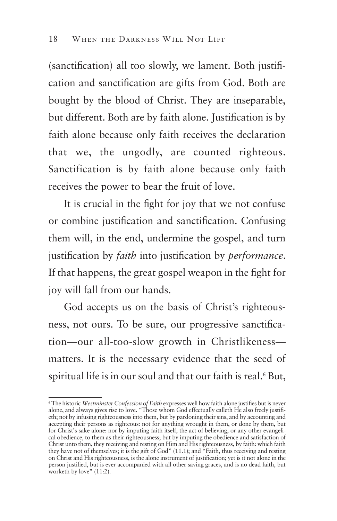(sanctification) all too slowly, we lament. Both justification and sanctification are gifts from God. Both are bought by the blood of Christ. They are inseparable, but different. Both are by faith alone. Justification is by faith alone because only faith receives the declaration that we, the ungodly, are counted righteous. Sanctification is by faith alone because only faith receives the power to bear the fruit of love.

It is crucial in the fight for joy that we not confuse or combine justification and sanctification. Confusing them will, in the end, undermine the gospel, and turn justification by *faith* into justification by *performance*. If that happens, the great gospel weapon in the fight for joy will fall from our hands.

God accepts us on the basis of Christ's righteousness, not ours. To be sure, our progressive sanctification—our all-too-slow growth in Christlikeness matters. It is the necessary evidence that the seed of spiritual life is in our soul and that our faith is real.<sup>6</sup> But,

<sup>6</sup> The historic *Westminster Confession of Faith* expresses well how faith alone justifies but is never alone, and always gives rise to love. "Those whom God effectually calleth He also freely justifieth; not by infusing righteousness into them, but by pardoning their sins, and by accounting and accepting their persons as righteous: not for anything wrought in them, or done by them, but for Christ's sake alone: nor by imputing faith itself, the act of believing, or any other evangelical obedience, to them as their righteousness; but by imputing the obedience and satisfaction of Christ unto them, they receiving and resting on Him and His righteousness, by faith: which faith they have not of themselves; it is the gift of God" (11.1); and "Faith, thus receiving and resting on Christ and His righteousness, is the alone instrument of justification; yet is it not alone in the person justified, but is ever accompanied with all other saving graces, and is no dead faith, but worketh by love" (11:2).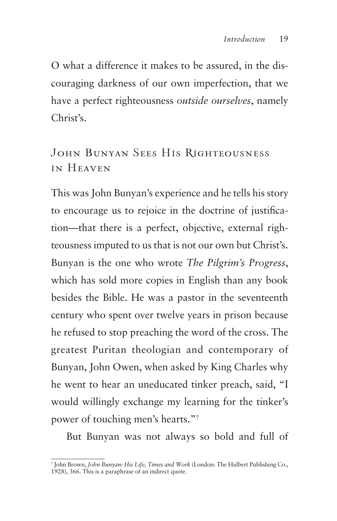O what a difference it makes to be assured, in the discouraging darkness of our own imperfection, that we have a perfect righteousness *outside ourselves*, namely Christ's.

### JOHN BUNYAN SEES HIS RIGHTEOUSNESS in Heaven

This was John Bunyan's experience and he tells his story to encourage us to rejoice in the doctrine of justification—that there is a perfect, objective, external righteousness imputed to us that is not our own but Christ's. Bunyan is the one who wrote *The Pilgrim's Progress*, which has sold more copies in English than any book besides the Bible. He was a pastor in the seventeenth century who spent over twelve years in prison because he refused to stop preaching the word of the cross. The greatest Puritan theologian and contemporary of Bunyan, John Owen, when asked by King Charles why he went to hear an uneducated tinker preach, said, "I would willingly exchange my learning for the tinker's power of touching men's hearts."7

But Bunyan was not always so bold and full of

<sup>7</sup> John Brown, *John Bunyan: His Life, Times and Work* (London: The Hulbert Publishing Co., 1928), 366. This is a paraphrase of an indirect quote.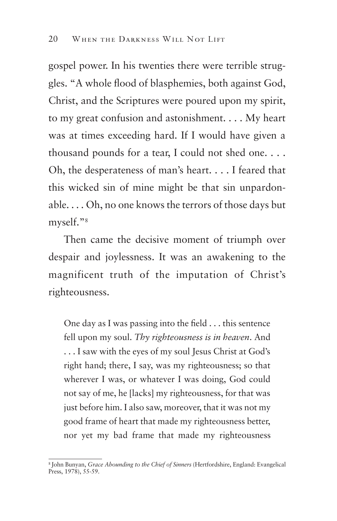gospel power. In his twenties there were terrible struggles. "A whole flood of blasphemies, both against God, Christ, and the Scriptures were poured upon my spirit, to my great confusion and astonishment. . . . My heart was at times exceeding hard. If I would have given a thousand pounds for a tear, I could not shed one. . . . Oh, the desperateness of man's heart. . . . I feared that this wicked sin of mine might be that sin unpardonable. . . . Oh, no one knows the terrors of those days but myself."8

Then came the decisive moment of triumph over despair and joylessness. It was an awakening to the magnificent truth of the imputation of Christ's righteousness.

One day as I was passing into the field . . . this sentence fell upon my soul. *Thy righteousness is in heaven*. And . . . I saw with the eyes of my soul Jesus Christ at God's right hand; there, I say, was my righteousness; so that wherever I was, or whatever I was doing, God could not say of me, he [lacks] my righteousness, for that was just before him. I also saw, moreover, that it was not my good frame of heart that made my righteousness better, nor yet my bad frame that made my righteousness

<sup>8</sup> John Bunyan, *Grace Abounding to the Chief of Sinners* (Hertfordshire, England: Evangelical Press, 1978), 55-59.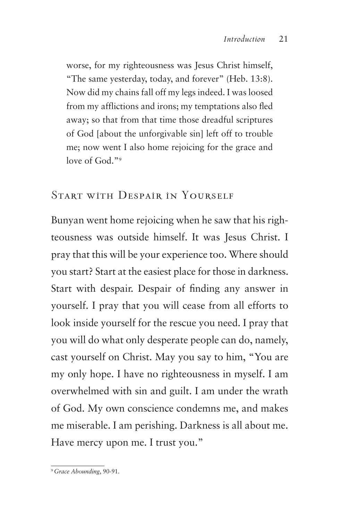worse, for my righteousness was Jesus Christ himself, "The same yesterday, today, and forever" (Heb. 13:8). Now did my chains fall off my legs indeed. I was loosed from my afflictions and irons; my temptations also fled away; so that from that time those dreadful scriptures of God [about the unforgivable sin] left off to trouble me; now went I also home rejoicing for the grace and love of God."<sup>9</sup>

#### Start with Despair in Yourself

Bunyan went home rejoicing when he saw that his righteousness was outside himself. It was Jesus Christ. I pray that this will be your experience too. Where should you start? Start at the easiest place for those in darkness. Start with despair. Despair of finding any answer in yourself. I pray that you will cease from all efforts to look inside yourself for the rescue you need. I pray that you will do what only desperate people can do, namely, cast yourself on Christ. May you say to him, "You are my only hope. I have no righteousness in myself. I am overwhelmed with sin and guilt. I am under the wrath of God. My own conscience condemns me, and makes me miserable. I am perishing. Darkness is all about me. Have mercy upon me. I trust you."

<sup>9</sup> *Grace Abounding*, 90-91.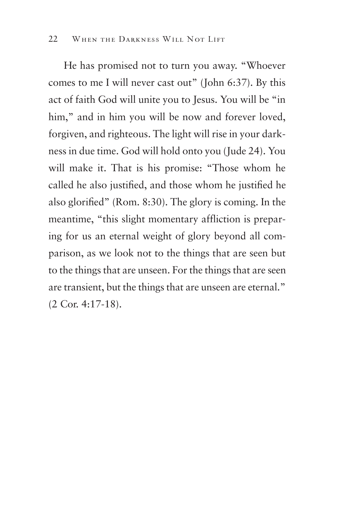He has promised not to turn you away. "Whoever comes to me I will never cast out" (John 6:37). By this act of faith God will unite you to Jesus. You will be "in him," and in him you will be now and forever loved, forgiven, and righteous. The light will rise in your darkness in due time. God will hold onto you (Jude 24). You will make it. That is his promise: "Those whom he called he also justified, and those whom he justified he also glorified" (Rom. 8:30). The glory is coming. In the meantime, "this slight momentary affliction is preparing for us an eternal weight of glory beyond all comparison, as we look not to the things that are seen but to the things that are unseen. For the things that are seen are transient, but the things that are unseen are eternal." (2 Cor. 4:17-18).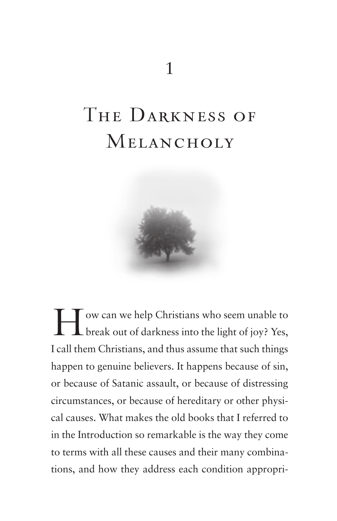### The Darkness of **MELANCHOLY**



I ow can we help Christians who seem unable to<br>break out of darkness into the light of joy? Yes, break out of darkness into the light of joy? Yes, I call them Christians, and thus assume that such things happen to genuine believers. It happens because of sin, or because of Satanic assault, or because of distressing circumstances, or because of hereditary or other physical causes. What makes the old books that I referred to in the Introduction so remarkable is the way they come to terms with all these causes and their many combinations, and how they address each condition appropri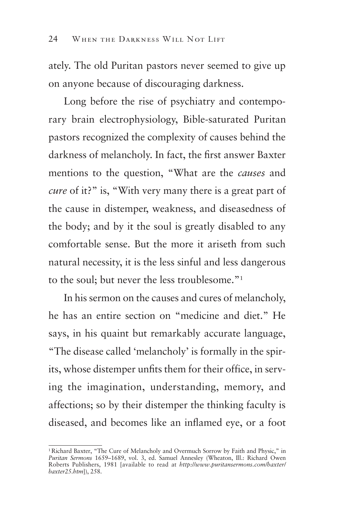ately. The old Puritan pastors never seemed to give up on anyone because of discouraging darkness.

Long before the rise of psychiatry and contemporary brain electrophysiology, Bible-saturated Puritan pastors recognized the complexity of causes behind the darkness of melancholy. In fact, the first answer Baxter mentions to the question, "What are the *causes* and *cure* of it?" is, "With very many there is a great part of the cause in distemper, weakness, and diseasedness of the body; and by it the soul is greatly disabled to any comfortable sense. But the more it ariseth from such natural necessity, it is the less sinful and less dangerous to the soul; but never the less troublesome."1

In his sermon on the causes and cures of melancholy, he has an entire section on "medicine and diet." He says, in his quaint but remarkably accurate language, "The disease called 'melancholy' is formally in the spirits, whose distemper unfits them for their office, in serving the imagination, understanding, memory, and affections; so by their distemper the thinking faculty is diseased, and becomes like an inflamed eye, or a foot

<sup>&</sup>lt;sup>1</sup> Richard Baxter, "The Cure of Melancholy and Overmuch Sorrow by Faith and Physic," in *Puritan Sermons* 1659–1689, vol. 3, ed. Samuel Annesley (Wheaton, Ill.: Richard Owen Roberts Publishers, 1981 [available to read at *http://www.puritansermons.com/baxter/ baxter25.htm*]), 258.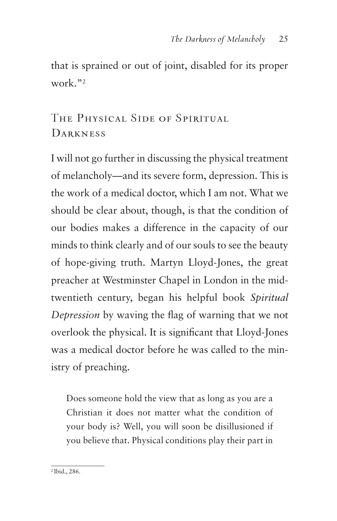that is sprained or out of joint, disabled for its proper work."2

The Physical Side of Spiritual **DARKNESS** 

I will not go further in discussing the physical treatment of melancholy—and its severe form, depression. This is the work of a medical doctor, which I am not. What we should be clear about, though, is that the condition of our bodies makes a difference in the capacity of our minds to think clearly and of our souls to see the beauty of hope-giving truth. Martyn Lloyd-Jones, the great preacher at Westminster Chapel in London in the midtwentieth century, began his helpful book *Spiritual Depression* by waving the flag of warning that we not overlook the physical. It is significant that Lloyd-Jones was a medical doctor before he was called to the ministry of preaching.

Does someone hold the view that as long as you are a Christian it does not matter what the condition of your body is? Well, you will soon be disillusioned if you believe that. Physical conditions play their part in

<sup>2</sup> Ibid., 286.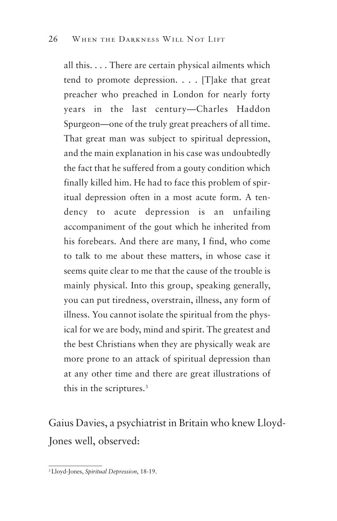all this. . . . There are certain physical ailments which tend to promote depression. . . . [T]ake that great preacher who preached in London for nearly forty years in the last century—Charles Haddon Spurgeon—one of the truly great preachers of all time. That great man was subject to spiritual depression, and the main explanation in his case was undoubtedly the fact that he suffered from a gouty condition which finally killed him. He had to face this problem of spiritual depression often in a most acute form. A tendency to acute depression is an unfailing accompaniment of the gout which he inherited from his forebears. And there are many, I find, who come to talk to me about these matters, in whose case it seems quite clear to me that the cause of the trouble is mainly physical. Into this group, speaking generally, you can put tiredness, overstrain, illness, any form of illness. You cannot isolate the spiritual from the physical for we are body, mind and spirit. The greatest and the best Christians when they are physically weak are more prone to an attack of spiritual depression than at any other time and there are great illustrations of this in the scriptures.3

Gaius Davies, a psychiatrist in Britain who knew Lloyd-Jones well, observed:

<sup>3</sup> Lloyd-Jones, *Spiritual Depression*, 18-19.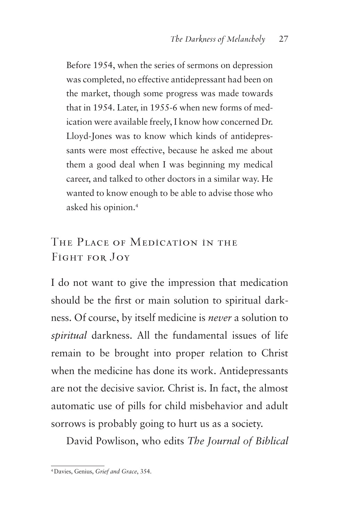Before 1954, when the series of sermons on depression was completed, no effective antidepressant had been on the market, though some progress was made towards that in 1954. Later, in 1955-6 when new forms of medication were available freely, I know how concerned Dr. Lloyd-Jones was to know which kinds of antidepressants were most effective, because he asked me about them a good deal when I was beginning my medical career, and talked to other doctors in a similar way. He wanted to know enough to be able to advise those who asked his opinion.4

#### The Place of Medication in the Fight for Joy

I do not want to give the impression that medication should be the first or main solution to spiritual darkness. Of course, by itself medicine is *never* a solution to *spiritual* darkness. All the fundamental issues of life remain to be brought into proper relation to Christ when the medicine has done its work. Antidepressants are not the decisive savior. Christ is. In fact, the almost automatic use of pills for child misbehavior and adult sorrows is probably going to hurt us as a society.

David Powlison, who edits *The Journal of Biblical* 

<sup>4</sup> Davies, Genius, *Grief and Grace*, 354.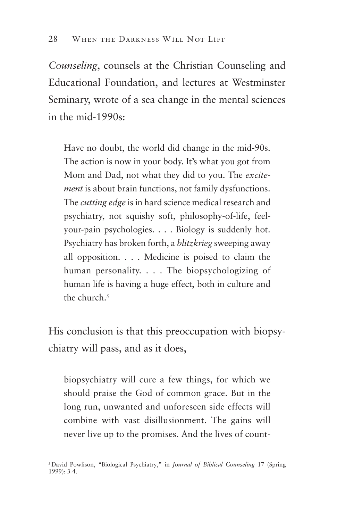*Counseling*, counsels at the Christian Counseling and Educational Foundation, and lectures at Westminster Seminary, wrote of a sea change in the mental sciences in the mid-1990s:

Have no doubt, the world did change in the mid-90s. The action is now in your body. It's what you got from Mom and Dad, not what they did to you. The *excitement* is about brain functions, not family dysfunctions. The *cutting edge* is in hard science medical research and psychiatry, not squishy soft, philosophy-of-life, feelyour-pain psychologies.... Biology is suddenly hot. Psychiatry has broken forth, a *blitzkrieg* sweeping away all opposition. . . . Medicine is poised to claim the human personality. . . . The biopsychologizing of human life is having a huge effect, both in culture and the church  $5$ 

His conclusion is that this preoccupation with biopsychiatry will pass, and as it does,

biopsychiatry will cure a few things, for which we should praise the God of common grace. But in the long run, unwanted and unforeseen side effects will combine with vast disillusionment. The gains will never live up to the promises. And the lives of count-

<sup>5</sup> David Powlison, "Biological Psychiatry," in *Journal of Biblical Counseling* 17 (Spring 1999): 3-4.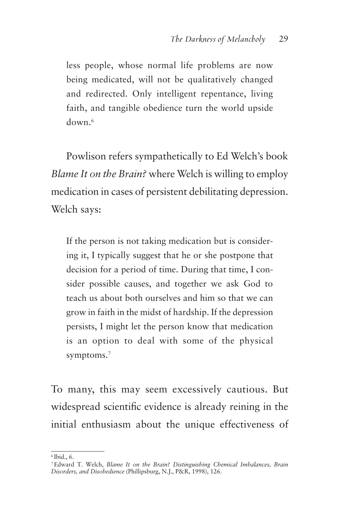less people, whose normal life problems are now being medicated, will not be qualitatively changed and redirected. Only intelligent repentance, living faith, and tangible obedience turn the world upside down.6

Powlison refers sympathetically to Ed Welch's book *Blame It on the Brain?* where Welch is willing to employ medication in cases of persistent debilitating depression. Welch says:

If the person is not taking medication but is considering it, I typically suggest that he or she postpone that decision for a period of time. During that time, I consider possible causes, and together we ask God to teach us about both ourselves and him so that we can grow in faith in the midst of hardship. If the depression persists, I might let the person know that medication is an option to deal with some of the physical symptoms.7

To many, this may seem excessively cautious. But widespread scientific evidence is already reining in the initial enthusiasm about the unique effectiveness of

<sup>6</sup> Ibid., 6.

<sup>7</sup> Edward T. Welch, *Blame It on the Brain? Distinguishing Chemical Imbalances, Brain Disorders, and Disobedience* (Phillipsburg, N.J., P&R, 1998), 126.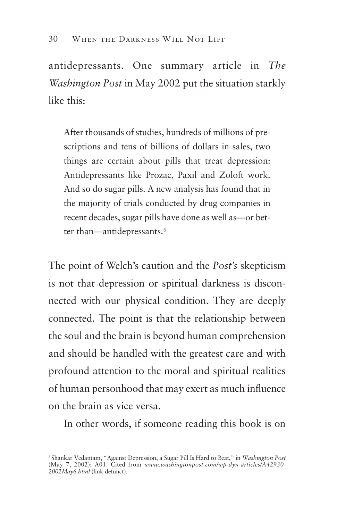antidepressants. One summary article in *The Washington Post* in May 2002 put the situation starkly like this:

After thousands of studies, hundreds of millions of prescriptions and tens of billions of dollars in sales, two things are certain about pills that treat depression: Antidepressants like Prozac, Paxil and Zoloft work. And so do sugar pills. A new analysis has found that in the majority of trials conducted by drug companies in recent decades, sugar pills have done as well as—or better than—antidepressants.<sup>8</sup>

The point of Welch's caution and the *Post's* skepticism is not that depression or spiritual darkness is disconnected with our physical condition. They are deeply connected. The point is that the relationship between the soul and the brain is beyond human comprehension and should be handled with the greatest care and with profound attention to the moral and spiritual realities of human personhood that may exert as much influence on the brain as vice versa.

In other words, if someone reading this book is on

<sup>8</sup> Shankar Vedantam, "Against Depression, a Sugar Pill Is Hard to Beat," in *Washington Post*  (May 7, 2002): A01. Cited from *www.washingtonpost.com/wp-dyn-articles/A42930 2002May6.html* (link defunct).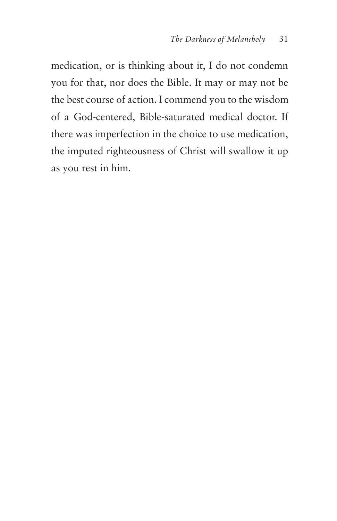medication, or is thinking about it, I do not condemn you for that, nor does the Bible. It may or may not be the best course of action. I commend you to the wisdom of a God-centered, Bible-saturated medical doctor. If there was imperfection in the choice to use medication, the imputed righteousness of Christ will swallow it up as you rest in him.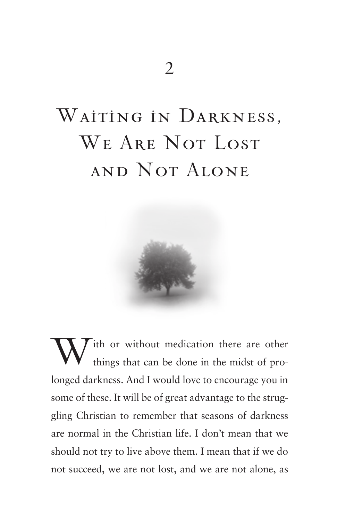# WAITING IN DARKNESS, WE ARE NOT LOST and Not Alone



ith or without medication there are other things that can be done in the midst of prolonged darkness. And I would love to encourage you in some of these. It will be of great advantage to the struggling Christian to remember that seasons of darkness are normal in the Christian life. I don't mean that we should not try to live above them. I mean that if we do not succeed, we are not lost, and we are not alone, as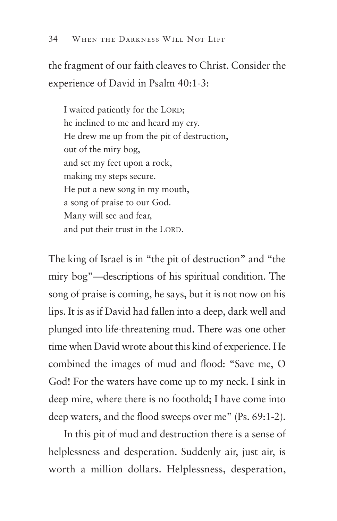the fragment of our faith cleaves to Christ. Consider the experience of David in Psalm 40:1-3:

I waited patiently for the LORD; he inclined to me and heard my cry. He drew me up from the pit of destruction, out of the miry bog, and set my feet upon a rock, making my steps secure. He put a new song in my mouth, a song of praise to our God. Many will see and fear, and put their trust in the LORD.

The king of Israel is in "the pit of destruction" and "the miry bog"—descriptions of his spiritual condition. The song of praise is coming, he says, but it is not now on his lips. It is as if David had fallen into a deep, dark well and plunged into life-threatening mud. There was one other time when David wrote about this kind of experience. He combined the images of mud and flood: "Save me, O God! For the waters have come up to my neck. I sink in deep mire, where there is no foothold; I have come into deep waters, and the flood sweeps over me" (Ps. 69:1-2).

In this pit of mud and destruction there is a sense of helplessness and desperation. Suddenly air, just air, is worth a million dollars. Helplessness, desperation,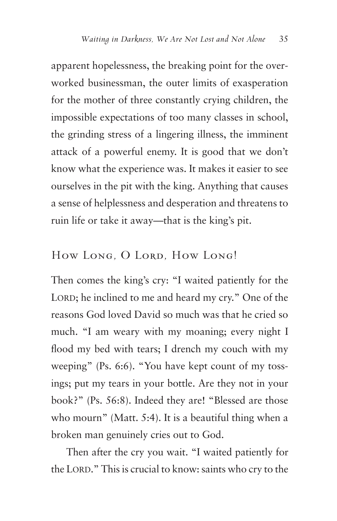apparent hopelessness, the breaking point for the overworked businessman, the outer limits of exasperation for the mother of three constantly crying children, the impossible expectations of too many classes in school, the grinding stress of a lingering illness, the imminent attack of a powerful enemy. It is good that we don't know what the experience was. It makes it easier to see ourselves in the pit with the king. Anything that causes a sense of helplessness and desperation and threatens to ruin life or take it away—that is the king's pit.

#### How Long, O Lord, How Long!

Then comes the king's cry: "I waited patiently for the LORD; he inclined to me and heard my cry." One of the reasons God loved David so much was that he cried so much. "I am weary with my moaning; every night I flood my bed with tears; I drench my couch with my weeping" (Ps. 6:6). "You have kept count of my tossings; put my tears in your bottle. Are they not in your book?" (Ps. 56:8). Indeed they are! "Blessed are those who mourn" (Matt. 5:4). It is a beautiful thing when a broken man genuinely cries out to God.

Then after the cry you wait. "I waited patiently for the LORD." This is crucial to know: saints who cry to the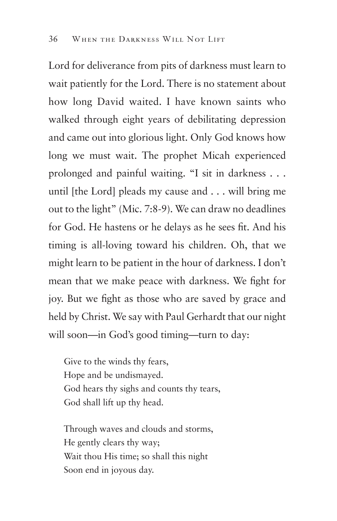Lord for deliverance from pits of darkness must learn to wait patiently for the Lord. There is no statement about how long David waited. I have known saints who walked through eight years of debilitating depression and came out into glorious light. Only God knows how long we must wait. The prophet Micah experienced prolonged and painful waiting. "I sit in darkness . . . until [the Lord] pleads my cause and . . . will bring me out to the light" (Mic. 7:8-9). We can draw no deadlines for God. He hastens or he delays as he sees fit. And his timing is all-loving toward his children. Oh, that we might learn to be patient in the hour of darkness. I don't mean that we make peace with darkness. We fight for joy. But we fight as those who are saved by grace and held by Christ. We say with Paul Gerhardt that our night will soon—in God's good timing—turn to day:

Give to the winds thy fears, Hope and be undismayed. God hears thy sighs and counts thy tears, God shall lift up thy head.

Through waves and clouds and storms, He gently clears thy way; Wait thou His time; so shall this night Soon end in joyous day.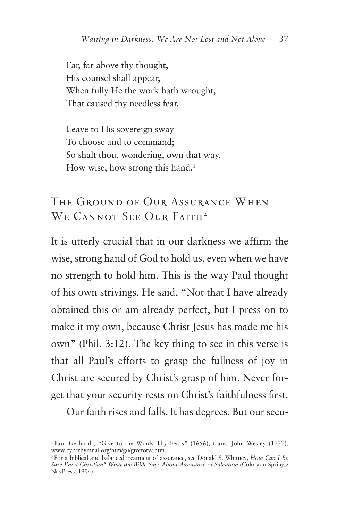Far, far above thy thought, His counsel shall appear, When fully He the work hath wrought, That caused thy needless fear.

Leave to His sovereign sway To choose and to command; So shalt thou, wondering, own that way, How wise, how strong this hand.<sup>1</sup>

### The Ground of Our Assurance When WE CANNOT SEE OUR FAITH<sup>2</sup>

It is utterly crucial that in our darkness we affirm the wise, strong hand of God to hold us, even when we have no strength to hold him. This is the way Paul thought of his own strivings. He said, "Not that I have already obtained this or am already perfect, but I press on to make it my own, because Christ Jesus has made me his own" (Phil. 3:12). The key thing to see in this verse is that all Paul's efforts to grasp the fullness of joy in Christ are secured by Christ's grasp of him. Never forget that your security rests on Christ's faithfulness first.

Our faith rises and falls. It has degrees. But our secu-

<sup>1</sup> Paul Gerhardt, "Give to the Winds Thy Fears" (1656), trans. John Wesley (1737), www.cyberhymnal.org/htm/g/i/givetotw.htm.

<sup>2</sup> For a biblical and balanced treatment of assurance, see Donald S. Whitney, *How Can I Be Sure I'm a Christian? What the Bible Says About Assurance of Salvation* (Colorado Springs: NavPress, 1994).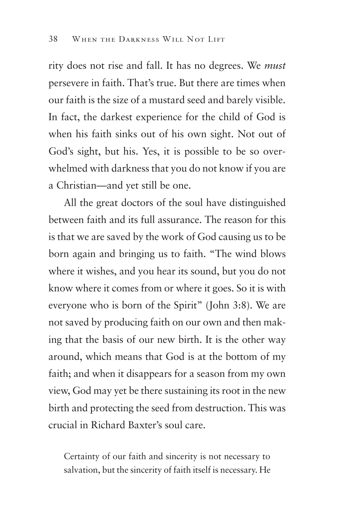rity does not rise and fall. It has no degrees. We *must*  persevere in faith. That's true. But there are times when our faith is the size of a mustard seed and barely visible. In fact, the darkest experience for the child of God is when his faith sinks out of his own sight. Not out of God's sight, but his. Yes, it is possible to be so overwhelmed with darkness that you do not know if you are a Christian—and yet still be one.

All the great doctors of the soul have distinguished between faith and its full assurance. The reason for this is that we are saved by the work of God causing us to be born again and bringing us to faith. "The wind blows where it wishes, and you hear its sound, but you do not know where it comes from or where it goes. So it is with everyone who is born of the Spirit" (John 3:8). We are not saved by producing faith on our own and then making that the basis of our new birth. It is the other way around, which means that God is at the bottom of my faith; and when it disappears for a season from my own view, God may yet be there sustaining its root in the new birth and protecting the seed from destruction. This was crucial in Richard Baxter's soul care.

Certainty of our faith and sincerity is not necessary to salvation, but the sincerity of faith itself is necessary. He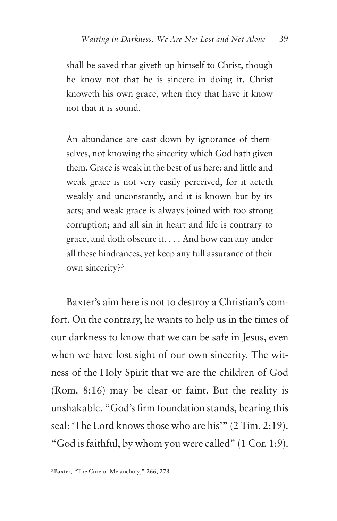shall be saved that giveth up himself to Christ, though he know not that he is sincere in doing it. Christ knoweth his own grace, when they that have it know not that it is sound.

An abundance are cast down by ignorance of themselves, not knowing the sincerity which God hath given them. Grace is weak in the best of us here; and little and weak grace is not very easily perceived, for it acteth weakly and unconstantly, and it is known but by its acts; and weak grace is always joined with too strong corruption; and all sin in heart and life is contrary to grace, and doth obscure it. . . . And how can any under all these hindrances, yet keep any full assurance of their own sincerity?3

Baxter's aim here is not to destroy a Christian's comfort. On the contrary, he wants to help us in the times of our darkness to know that we can be safe in Jesus, even when we have lost sight of our own sincerity. The witness of the Holy Spirit that we are the children of God (Rom. 8:16) may be clear or faint. But the reality is unshakable. "God's firm foundation stands, bearing this seal: 'The Lord knows those who are his'" (2 Tim. 2:19). "God is faithful, by whom you were called" (1 Cor. 1:9).

<sup>3</sup> Baxter, "The Cure of Melancholy," 266, 278.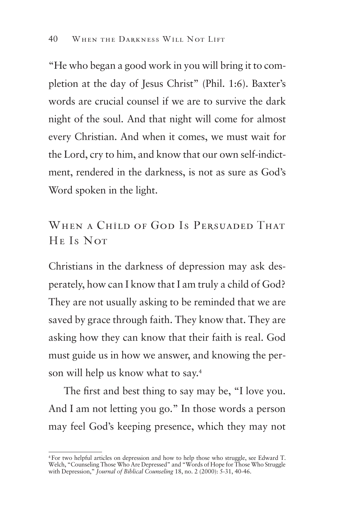"He who began a good work in you will bring it to completion at the day of Jesus Christ" (Phil. 1:6). Baxter's words are crucial counsel if we are to survive the dark night of the soul. And that night will come for almost every Christian. And when it comes, we must wait for the Lord, cry to him, and know that our own self-indictment, rendered in the darkness, is not as sure as God's Word spoken in the light.

WHEN A CHILD OF GOD IS PERSUADED THAT He Is Not

Christians in the darkness of depression may ask desperately, how can I know that I am truly a child of God? They are not usually asking to be reminded that we are saved by grace through faith. They know that. They are asking how they can know that their faith is real. God must guide us in how we answer, and knowing the person will help us know what to say.4

The first and best thing to say may be, "I love you. And I am not letting you go." In those words a person may feel God's keeping presence, which they may not

<sup>4</sup> For two helpful articles on depression and how to help those who struggle, see Edward T. Welch, "Counseling Those Who Are Depressed" and "Words of Hope for Those Who Struggle with Depression," *Journal of Biblical Counseling* 18, no. 2 (2000): 5-31, 40-46.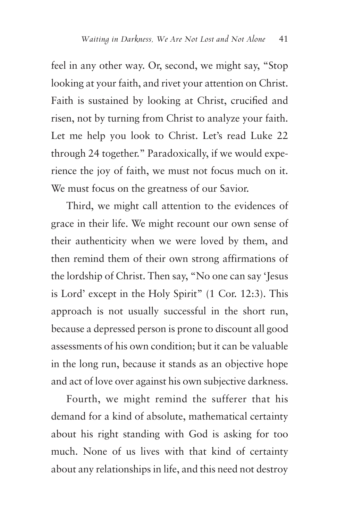feel in any other way. Or, second, we might say, "Stop looking at your faith, and rivet your attention on Christ. Faith is sustained by looking at Christ, crucified and risen, not by turning from Christ to analyze your faith. Let me help you look to Christ. Let's read Luke 22 through 24 together." Paradoxically, if we would experience the joy of faith, we must not focus much on it. We must focus on the greatness of our Savior.

Third, we might call attention to the evidences of grace in their life. We might recount our own sense of their authenticity when we were loved by them, and then remind them of their own strong affirmations of the lordship of Christ. Then say, "No one can say 'Jesus is Lord' except in the Holy Spirit" (1 Cor. 12:3). This approach is not usually successful in the short run, because a depressed person is prone to discount all good assessments of his own condition; but it can be valuable in the long run, because it stands as an objective hope and act of love over against his own subjective darkness.

Fourth, we might remind the sufferer that his demand for a kind of absolute, mathematical certainty about his right standing with God is asking for too much. None of us lives with that kind of certainty about any relationships in life, and this need not destroy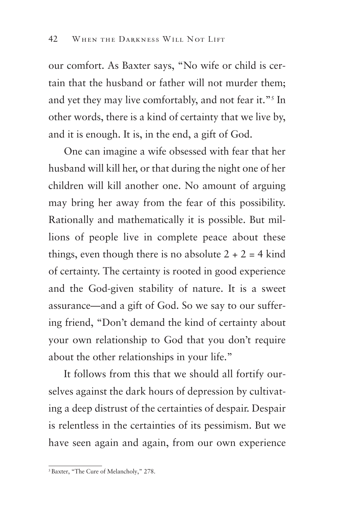our comfort. As Baxter says, "No wife or child is certain that the husband or father will not murder them; and yet they may live comfortably, and not fear it."5 In other words, there is a kind of certainty that we live by, and it is enough. It is, in the end, a gift of God.

One can imagine a wife obsessed with fear that her husband will kill her, or that during the night one of her children will kill another one. No amount of arguing may bring her away from the fear of this possibility. Rationally and mathematically it is possible. But millions of people live in complete peace about these things, even though there is no absolute  $2 + 2 = 4$  kind of certainty. The certainty is rooted in good experience and the God-given stability of nature. It is a sweet assurance—and a gift of God. So we say to our suffering friend, "Don't demand the kind of certainty about your own relationship to God that you don't require about the other relationships in your life."

It follows from this that we should all fortify ourselves against the dark hours of depression by cultivating a deep distrust of the certainties of despair. Despair is relentless in the certainties of its pessimism. But we have seen again and again, from our own experience

<sup>5</sup> Baxter, "The Cure of Melancholy," 278.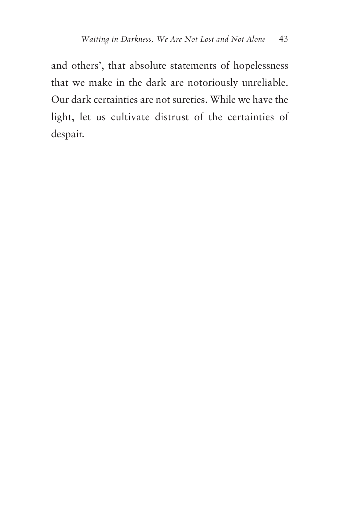and others', that absolute statements of hopelessness that we make in the dark are notoriously unreliable. Our dark certainties are not sureties. While we have the light, let us cultivate distrust of the certainties of despair.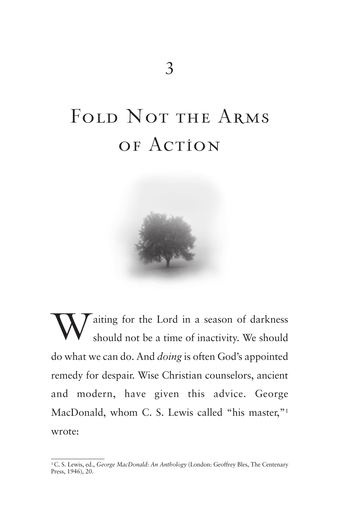# FOLD NOT THE ARMS of Action



W aiting for the Lord in a season of darkness<br>should not be a time of inactivity. We should should not be a time of inactivity. We should do what we can do. And *doing* is often God's appointed remedy for despair. Wise Christian counselors, ancient and modern, have given this advice. George MacDonald, whom C. S. Lewis called "his master,"<sup>1</sup> wrote:

<sup>1</sup> C. S. Lewis, ed., *George MacDonald: An Anthology* (London: Geoffrey Bles, The Centenary Press, 1946), 20.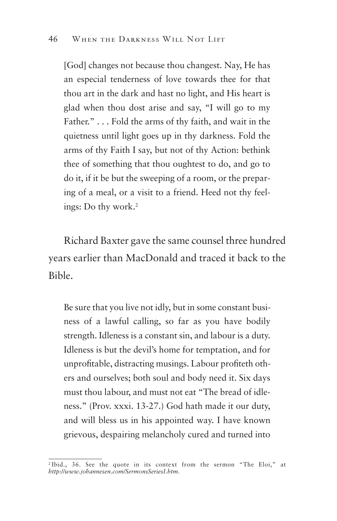[God] changes not because thou changest. Nay, He has an especial tenderness of love towards thee for that thou art in the dark and hast no light, and His heart is glad when thou dost arise and say, "I will go to my Father." . . . Fold the arms of thy faith, and wait in the quietness until light goes up in thy darkness. Fold the arms of thy Faith I say, but not of thy Action: bethink thee of something that thou oughtest to do, and go to do it, if it be but the sweeping of a room, or the preparing of a meal, or a visit to a friend. Heed not thy feelings: Do thy work.2

Richard Baxter gave the same counsel three hundred years earlier than MacDonald and traced it back to the Bible.

Be sure that you live not idly, but in some constant business of a lawful calling, so far as you have bodily strength. Idleness is a constant sin, and labour is a duty. Idleness is but the devil's home for temptation, and for unprofitable, distracting musings. Labour profiteth others and ourselves; both soul and body need it. Six days must thou labour, and must not eat "The bread of idleness." (Prov. xxxi. 13-27.) God hath made it our duty, and will bless us in his appointed way. I have known grievous, despairing melancholy cured and turned into

<sup>2</sup> Ibid., 36. See the quote in its context from the sermon "The Eloi," at *http://www.johannesen.com/SermonsSeriesI.htm*.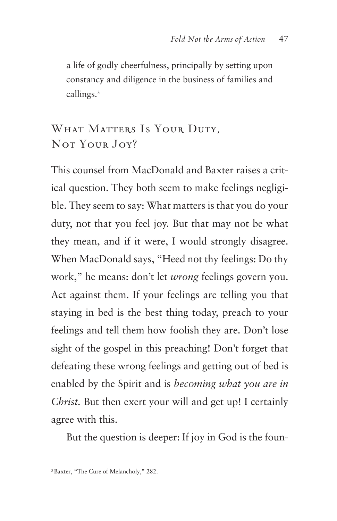a life of godly cheerfulness, principally by setting upon constancy and diligence in the business of families and callings.<sup>3</sup>

#### WHAT MATTERS IS YOUR DUTY. NOT YOUR JOY?

This counsel from MacDonald and Baxter raises a critical question. They both seem to make feelings negligible. They seem to say: What matters is that you do your duty, not that you feel joy. But that may not be what they mean, and if it were, I would strongly disagree. When MacDonald says, "Heed not thy feelings: Do thy work," he means: don't let *wrong* feelings govern you. Act against them. If your feelings are telling you that staying in bed is the best thing today, preach to your feelings and tell them how foolish they are. Don't lose sight of the gospel in this preaching! Don't forget that defeating these wrong feelings and getting out of bed is enabled by the Spirit and is *becoming what you are in Christ.* But then exert your will and get up! I certainly agree with this.

But the question is deeper: If joy in God is the foun-

<sup>3</sup> Baxter, "The Cure of Melancholy," 282.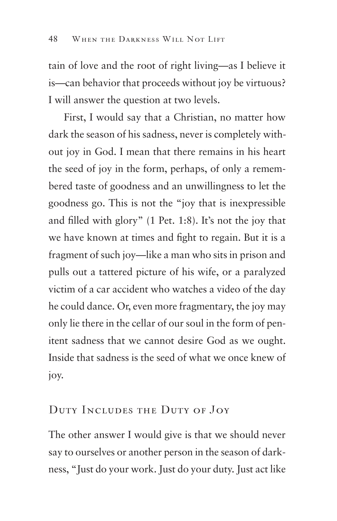tain of love and the root of right living—as I believe it is—can behavior that proceeds without joy be virtuous? I will answer the question at two levels.

First, I would say that a Christian, no matter how dark the season of his sadness, never is completely without joy in God. I mean that there remains in his heart the seed of joy in the form, perhaps, of only a remembered taste of goodness and an unwillingness to let the goodness go. This is not the "joy that is inexpressible and filled with glory" (1 Pet. 1:8). It's not the joy that we have known at times and fight to regain. But it is a fragment of such joy—like a man who sits in prison and pulls out a tattered picture of his wife, or a paralyzed victim of a car accident who watches a video of the day he could dance. Or, even more fragmentary, the joy may only lie there in the cellar of our soul in the form of penitent sadness that we cannot desire God as we ought. Inside that sadness is the seed of what we once knew of joy.

#### Duty Includes the Duty of Joy

The other answer I would give is that we should never say to ourselves or another person in the season of darkness, "Just do your work. Just do your duty. Just act like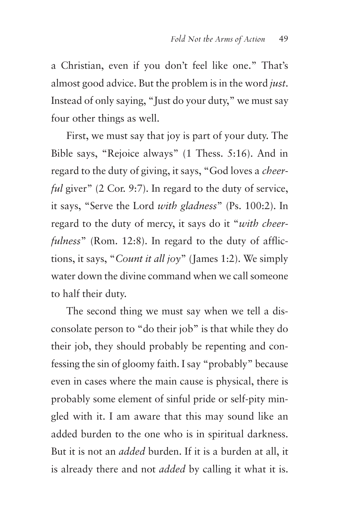a Christian, even if you don't feel like one." That's almost good advice. But the problem is in the word *just*. Instead of only saying, "Just do your duty," we must say four other things as well.

First, we must say that joy is part of your duty. The Bible says, "Rejoice always" (1 Thess. 5:16). And in regard to the duty of giving, it says, "God loves a *cheerful* giver" (2 Cor. 9:7). In regard to the duty of service, it says, "Serve the Lord *with gladness*" (Ps. 100:2). In regard to the duty of mercy, it says do it "*with cheerfulness*" (Rom. 12:8). In regard to the duty of afflictions, it says, "*Count it all joy*" (James 1:2). We simply water down the divine command when we call someone to half their duty.

The second thing we must say when we tell a disconsolate person to "do their job" is that while they do their job, they should probably be repenting and confessing the sin of gloomy faith. I say "probably" because even in cases where the main cause is physical, there is probably some element of sinful pride or self-pity mingled with it. I am aware that this may sound like an added burden to the one who is in spiritual darkness. But it is not an *added* burden. If it is a burden at all, it is already there and not *added* by calling it what it is.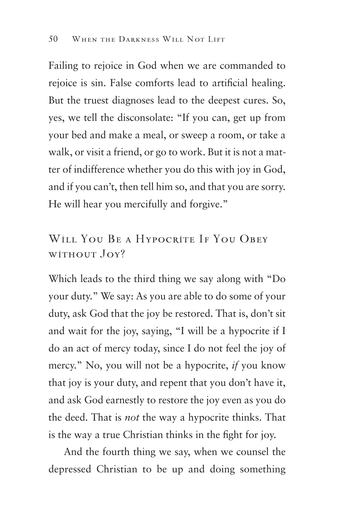Failing to rejoice in God when we are commanded to rejoice is sin. False comforts lead to artificial healing. But the truest diagnoses lead to the deepest cures. So, yes, we tell the disconsolate: "If you can, get up from your bed and make a meal, or sweep a room, or take a walk, or visit a friend, or go to work. But it is not a matter of indifference whether you do this with joy in God, and if you can't, then tell him so, and that you are sorry. He will hear you mercifully and forgive."

#### WILL YOU BE A HYPOCRITE IF YOU OBEY without Joy?

Which leads to the third thing we say along with "Do your duty." We say: As you are able to do some of your duty, ask God that the joy be restored. That is, don't sit and wait for the joy, saying, "I will be a hypocrite if I do an act of mercy today, since I do not feel the joy of mercy." No, you will not be a hypocrite, *if* you know that joy is your duty, and repent that you don't have it, and ask God earnestly to restore the joy even as you do the deed. That is *not* the way a hypocrite thinks. That is the way a true Christian thinks in the fight for joy.

And the fourth thing we say, when we counsel the depressed Christian to be up and doing something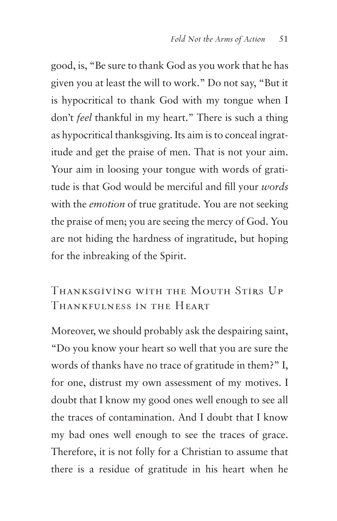good, is, "Be sure to thank God as you work that he has given you at least the will to work." Do not say, "But it is hypocritical to thank God with my tongue when I don't *feel* thankful in my heart." There is such a thing as hypocritical thanksgiving. Its aim is to conceal ingratitude and get the praise of men. That is not your aim. Your aim in loosing your tongue with words of gratitude is that God would be merciful and fill your *words*  with the *emotion* of true gratitude. You are not seeking the praise of men; you are seeing the mercy of God. You are not hiding the hardness of ingratitude, but hoping for the inbreaking of the Spirit.

#### Thanksgiving with the Mouth Stirs Up Thankfulness in the Heart

Moreover, we should probably ask the despairing saint, "Do you know your heart so well that you are sure the words of thanks have no trace of gratitude in them?" I, for one, distrust my own assessment of my motives. I doubt that I know my good ones well enough to see all the traces of contamination. And I doubt that I know my bad ones well enough to see the traces of grace. Therefore, it is not folly for a Christian to assume that there is a residue of gratitude in his heart when he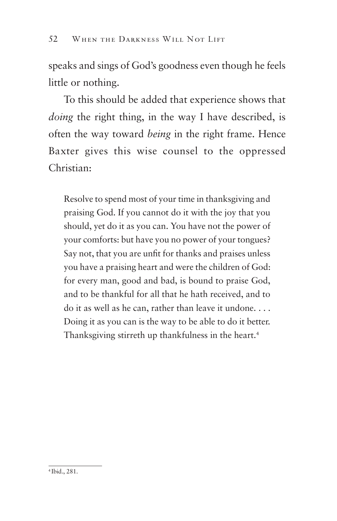speaks and sings of God's goodness even though he feels little or nothing.

To this should be added that experience shows that *doing* the right thing, in the way I have described, is often the way toward *being* in the right frame. Hence Baxter gives this wise counsel to the oppressed Christian:

Resolve to spend most of your time in thanksgiving and praising God. If you cannot do it with the joy that you should, yet do it as you can. You have not the power of your comforts: but have you no power of your tongues? Say not, that you are unfit for thanks and praises unless you have a praising heart and were the children of God: for every man, good and bad, is bound to praise God, and to be thankful for all that he hath received, and to do it as well as he can, rather than leave it undone. . . . Doing it as you can is the way to be able to do it better. Thanksgiving stirreth up thankfulness in the heart.<sup>4</sup>

<sup>4</sup> Ibid., 281.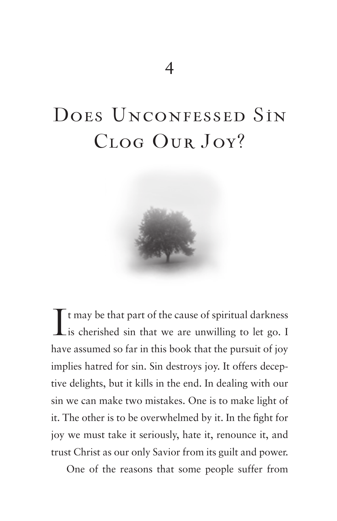## DOES UNCONFESSED SIN Clog Our Joy?



I t may be that part of the cause of spiritual darkness is cherished sin that we are unwilling to let go. I have assumed so far in this book that the pursuit of joy implies hatred for sin. Sin destroys joy. It offers deceptive delights, but it kills in the end. In dealing with our sin we can make two mistakes. One is to make light of it. The other is to be overwhelmed by it. In the fight for joy we must take it seriously, hate it, renounce it, and trust Christ as our only Savior from its guilt and power.

One of the reasons that some people suffer from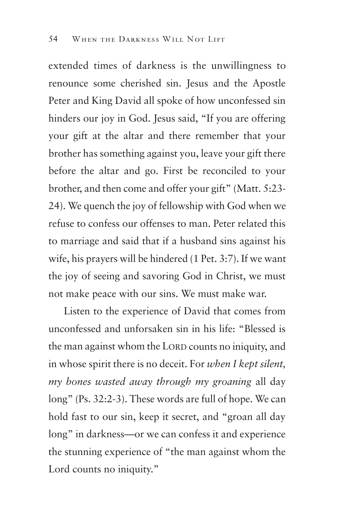extended times of darkness is the unwillingness to renounce some cherished sin. Jesus and the Apostle Peter and King David all spoke of how unconfessed sin hinders our joy in God. Jesus said, "If you are offering your gift at the altar and there remember that your brother has something against you, leave your gift there before the altar and go. First be reconciled to your brother, and then come and offer your gift" (Matt. 5:23 24). We quench the joy of fellowship with God when we refuse to confess our offenses to man. Peter related this to marriage and said that if a husband sins against his wife, his prayers will be hindered (1 Pet. 3:7). If we want the joy of seeing and savoring God in Christ, we must not make peace with our sins. We must make war.

Listen to the experience of David that comes from unconfessed and unforsaken sin in his life: "Blessed is the man against whom the LORD counts no iniquity, and in whose spirit there is no deceit. For *when I kept silent, my bones wasted away through my groaning* all day long" (Ps. 32:2-3). These words are full of hope. We can hold fast to our sin, keep it secret, and "groan all day long" in darkness—or we can confess it and experience the stunning experience of "the man against whom the Lord counts no iniquity."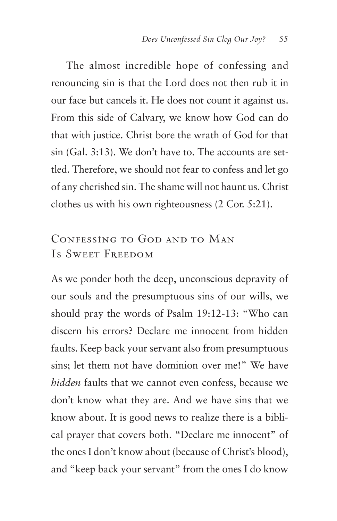The almost incredible hope of confessing and renouncing sin is that the Lord does not then rub it in our face but cancels it. He does not count it against us. From this side of Calvary, we know how God can do that with justice. Christ bore the wrath of God for that sin (Gal. 3:13). We don't have to. The accounts are settled. Therefore, we should not fear to confess and let go of any cherished sin. The shame will not haunt us. Christ clothes us with his own righteousness (2 Cor. 5:21).

#### Confessing to God and to Man Is Sweet Freedom

As we ponder both the deep, unconscious depravity of our souls and the presumptuous sins of our wills, we should pray the words of Psalm 19:12-13: "Who can discern his errors? Declare me innocent from hidden faults. Keep back your servant also from presumptuous sins; let them not have dominion over me!" We have *hidden* faults that we cannot even confess, because we don't know what they are. And we have sins that we know about. It is good news to realize there is a biblical prayer that covers both. "Declare me innocent" of the ones I don't know about (because of Christ's blood), and "keep back your servant" from the ones I do know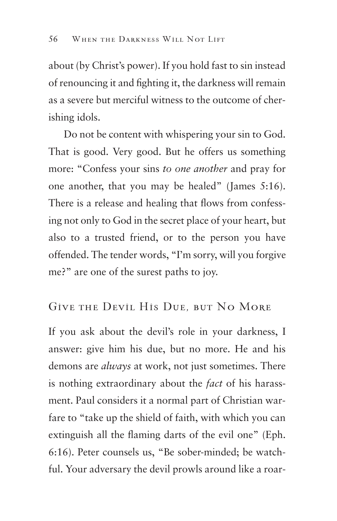about (by Christ's power). If you hold fast to sin instead of renouncing it and fighting it, the darkness will remain as a severe but merciful witness to the outcome of cherishing idols.

Do not be content with whispering your sin to God. That is good. Very good. But he offers us something more: "Confess your sins *to one another* and pray for one another, that you may be healed" (James 5:16). There is a release and healing that flows from confessing not only to God in the secret place of your heart, but also to a trusted friend, or to the person you have offended. The tender words, "I'm sorry, will you forgive me?" are one of the surest paths to joy.

#### Give the Devil His Due, but No More

If you ask about the devil's role in your darkness, I answer: give him his due, but no more. He and his demons are *always* at work, not just sometimes. There is nothing extraordinary about the *fact* of his harassment. Paul considers it a normal part of Christian warfare to "take up the shield of faith, with which you can extinguish all the flaming darts of the evil one" (Eph. 6:16). Peter counsels us, "Be sober-minded; be watchful. Your adversary the devil prowls around like a roar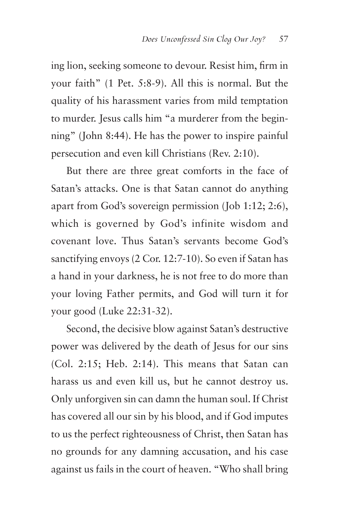ing lion, seeking someone to devour. Resist him, firm in your faith" (1 Pet. 5:8-9). All this is normal. But the quality of his harassment varies from mild temptation to murder. Jesus calls him "a murderer from the beginning" (John 8:44). He has the power to inspire painful persecution and even kill Christians (Rev. 2:10).

But there are three great comforts in the face of Satan's attacks. One is that Satan cannot do anything apart from God's sovereign permission (Job 1:12; 2:6), which is governed by God's infinite wisdom and covenant love. Thus Satan's servants become God's sanctifying envoys (2 Cor. 12:7-10). So even if Satan has a hand in your darkness, he is not free to do more than your loving Father permits, and God will turn it for your good (Luke 22:31-32).

Second, the decisive blow against Satan's destructive power was delivered by the death of Jesus for our sins (Col. 2:15; Heb. 2:14). This means that Satan can harass us and even kill us, but he cannot destroy us. Only unforgiven sin can damn the human soul. If Christ has covered all our sin by his blood, and if God imputes to us the perfect righteousness of Christ, then Satan has no grounds for any damning accusation, and his case against us fails in the court of heaven. "Who shall bring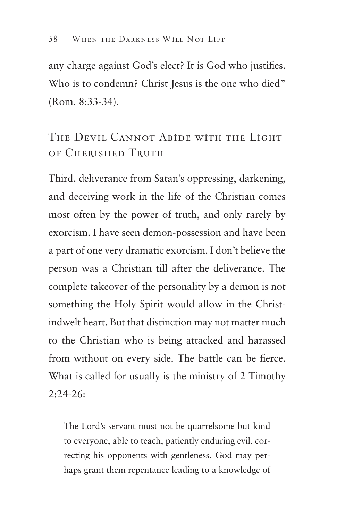any charge against God's elect? It is God who justifies. Who is to condemn? Christ Jesus is the one who died" (Rom. 8:33-34).

### The Devil Cannot Abide with the Light of Cherished Truth

Third, deliverance from Satan's oppressing, darkening, and deceiving work in the life of the Christian comes most often by the power of truth, and only rarely by exorcism. I have seen demon-possession and have been a part of one very dramatic exorcism. I don't believe the person was a Christian till after the deliverance. The complete takeover of the personality by a demon is not something the Holy Spirit would allow in the Christindwelt heart. But that distinction may not matter much to the Christian who is being attacked and harassed from without on every side. The battle can be fierce. What is called for usually is the ministry of 2 Timothy  $2:24-26$ :

The Lord's servant must not be quarrelsome but kind to everyone, able to teach, patiently enduring evil, correcting his opponents with gentleness. God may perhaps grant them repentance leading to a knowledge of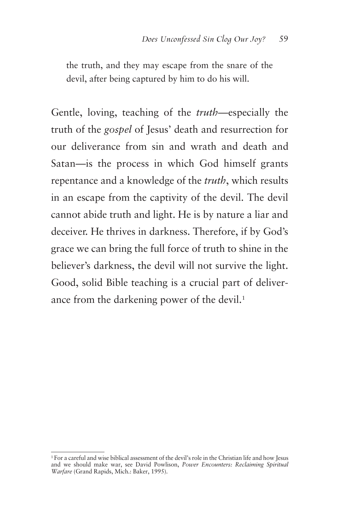the truth, and they may escape from the snare of the devil, after being captured by him to do his will.

Gentle, loving, teaching of the *truth*—especially the truth of the *gospel* of Jesus' death and resurrection for our deliverance from sin and wrath and death and Satan—is the process in which God himself grants repentance and a knowledge of the *truth*, which results in an escape from the captivity of the devil. The devil cannot abide truth and light. He is by nature a liar and deceiver. He thrives in darkness. Therefore, if by God's grace we can bring the full force of truth to shine in the believer's darkness, the devil will not survive the light. Good, solid Bible teaching is a crucial part of deliverance from the darkening power of the devil.<sup>1</sup>

<sup>&</sup>lt;sup>1</sup> For a careful and wise biblical assessment of the devil's role in the Christian life and how Jesus and we should make war, see David Powlison, *Power Encounters: Reclaiming Spiritual Warfare* (Grand Rapids, Mich.: Baker, 1995).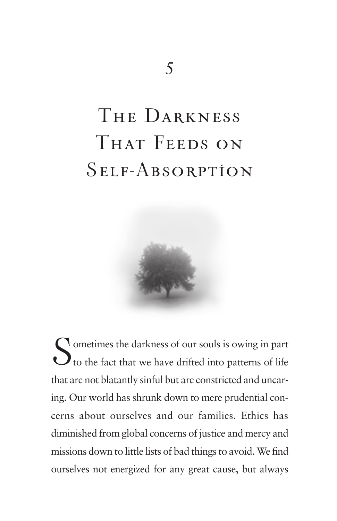# The Darkness THAT FEEDS ON Self-Absorption



Sometimes the darkness of our souls is owing in part<br>to the fact that we have drifted into patterns of life to the fact that we have drifted into patterns of life that are not blatantly sinful but are constricted and uncaring. Our world has shrunk down to mere prudential concerns about ourselves and our families. Ethics has diminished from global concerns of justice and mercy and missions down to little lists of bad things to avoid. We find ourselves not energized for any great cause, but always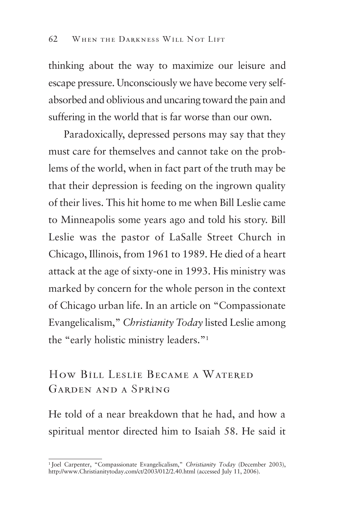thinking about the way to maximize our leisure and escape pressure. Unconsciously we have become very selfabsorbed and oblivious and uncaring toward the pain and suffering in the world that is far worse than our own.

Paradoxically, depressed persons may say that they must care for themselves and cannot take on the problems of the world, when in fact part of the truth may be that their depression is feeding on the ingrown quality of their lives. This hit home to me when Bill Leslie came to Minneapolis some years ago and told his story. Bill Leslie was the pastor of LaSalle Street Church in Chicago, Illinois, from 1961 to 1989. He died of a heart attack at the age of sixty-one in 1993. His ministry was marked by concern for the whole person in the context of Chicago urban life. In an article on "Compassionate Evangelicalism," *Christianity Today* listed Leslie among the "early holistic ministry leaders."1

#### How Bill Leslie Became a Watered Garden and a Spring

He told of a near breakdown that he had, and how a spiritual mentor directed him to Isaiah 58. He said it

<sup>&</sup>lt;sup>1</sup> Joel Carpenter, "Compassionate Evangelicalism," *Christianity Today* (December 2003), http://www.Christianitytoday.com/ct/2003/012/2.40.html (accessed July 11, 2006).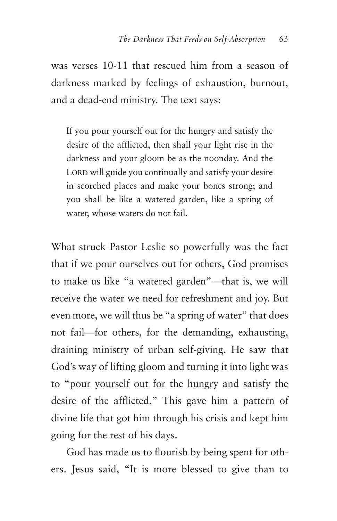was verses 10-11 that rescued him from a season of darkness marked by feelings of exhaustion, burnout, and a dead-end ministry. The text says:

If you pour yourself out for the hungry and satisfy the desire of the afflicted, then shall your light rise in the darkness and your gloom be as the noonday. And the LORD will guide you continually and satisfy your desire in scorched places and make your bones strong; and you shall be like a watered garden, like a spring of water, whose waters do not fail.

What struck Pastor Leslie so powerfully was the fact that if we pour ourselves out for others, God promises to make us like "a watered garden"—that is, we will receive the water we need for refreshment and joy. But even more, we will thus be "a spring of water" that does not fail—for others, for the demanding, exhausting, draining ministry of urban self-giving. He saw that God's way of lifting gloom and turning it into light was to "pour yourself out for the hungry and satisfy the desire of the afflicted." This gave him a pattern of divine life that got him through his crisis and kept him going for the rest of his days.

God has made us to flourish by being spent for others. Jesus said, "It is more blessed to give than to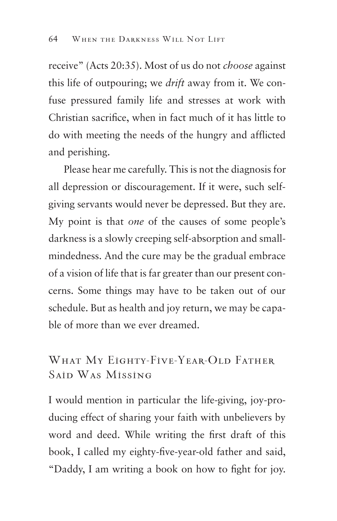receive" (Acts 20:35). Most of us do not *choose* against this life of outpouring; we *drift* away from it. We confuse pressured family life and stresses at work with Christian sacrifice, when in fact much of it has little to do with meeting the needs of the hungry and afflicted and perishing.

Please hear me carefully. This is not the diagnosis for all depression or discouragement. If it were, such selfgiving servants would never be depressed. But they are. My point is that *one* of the causes of some people's darkness is a slowly creeping self-absorption and smallmindedness. And the cure may be the gradual embrace of a vision of life that is far greater than our present concerns. Some things may have to be taken out of our schedule. But as health and joy return, we may be capable of more than we ever dreamed.

#### WHAT MY EIGHTY-FIVE-YEAR-OLD FATHER Said Was Missing

I would mention in particular the life-giving, joy-producing effect of sharing your faith with unbelievers by word and deed. While writing the first draft of this book, I called my eighty-five-year-old father and said, "Daddy, I am writing a book on how to fight for joy.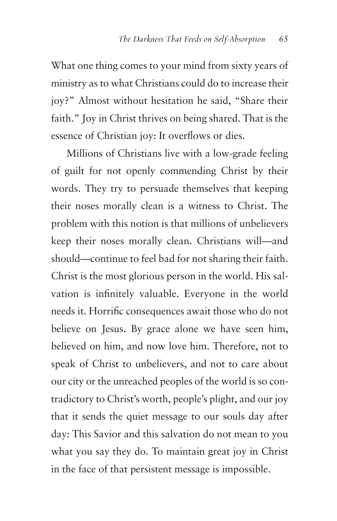What one thing comes to your mind from sixty years of ministry as to what Christians could do to increase their joy?" Almost without hesitation he said, "Share their faith." Joy in Christ thrives on being shared. That is the essence of Christian joy: It overflows or dies.

Millions of Christians live with a low-grade feeling of guilt for not openly commending Christ by their words. They try to persuade themselves that keeping their noses morally clean is a witness to Christ. The problem with this notion is that millions of unbelievers keep their noses morally clean. Christians will—and should—continue to feel bad for not sharing their faith. Christ is the most glorious person in the world. His salvation is infinitely valuable. Everyone in the world needs it. Horrific consequences await those who do not believe on Jesus. By grace alone we have seen him, believed on him, and now love him. Therefore, not to speak of Christ to unbelievers, and not to care about our city or the unreached peoples of the world is so contradictory to Christ's worth, people's plight, and our joy that it sends the quiet message to our souls day after day: This Savior and this salvation do not mean to you what you say they do. To maintain great joy in Christ in the face of that persistent message is impossible.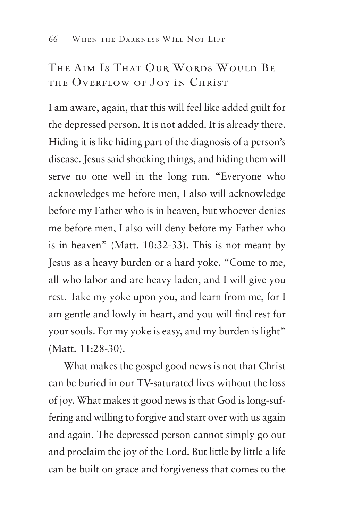#### The Aim Is That Our Words Would Be the Overflow of Joy in Christ

I am aware, again, that this will feel like added guilt for the depressed person. It is not added. It is already there. Hiding it is like hiding part of the diagnosis of a person's disease. Jesus said shocking things, and hiding them will serve no one well in the long run. "Everyone who acknowledges me before men, I also will acknowledge before my Father who is in heaven, but whoever denies me before men, I also will deny before my Father who is in heaven" (Matt. 10:32-33). This is not meant by Jesus as a heavy burden or a hard yoke. "Come to me, all who labor and are heavy laden, and I will give you rest. Take my yoke upon you, and learn from me, for I am gentle and lowly in heart, and you will find rest for your souls. For my yoke is easy, and my burden is light" (Matt. 11:28-30).

What makes the gospel good news is not that Christ can be buried in our TV-saturated lives without the loss of joy. What makes it good news is that God is long-suffering and willing to forgive and start over with us again and again. The depressed person cannot simply go out and proclaim the joy of the Lord. But little by little a life can be built on grace and forgiveness that comes to the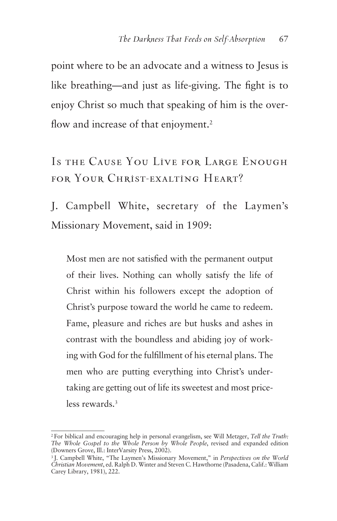point where to be an advocate and a witness to Jesus is like breathing—and just as life-giving. The fight is to enjoy Christ so much that speaking of him is the overflow and increase of that enjoyment.<sup>2</sup>

Is the Cause You Live for Large Enough for Your Christ-exalting Heart?

J. Campbell White, secretary of the Laymen's Missionary Movement, said in 1909:

Most men are not satisfied with the permanent output of their lives. Nothing can wholly satisfy the life of Christ within his followers except the adoption of Christ's purpose toward the world he came to redeem. Fame, pleasure and riches are but husks and ashes in contrast with the boundless and abiding joy of working with God for the fulfillment of his eternal plans. The men who are putting everything into Christ's undertaking are getting out of life its sweetest and most priceless rewards.3

<sup>2</sup> For biblical and encouraging help in personal evangelism, see Will Metzger, *Tell the Truth: The Whole Gospel to the Whole Person by Whole People*, revised and expanded edition (Downers Grove, Ill.: InterVarsity Press, 2002).

<sup>3</sup> J. Campbell White, "The Laymen's Missionary Movement," in *Perspectives on the World Christian Movement*, ed. Ralph D. Winter and Steven C. Hawthorne (Pasadena, Calif.: William Carey Library, 1981), 222.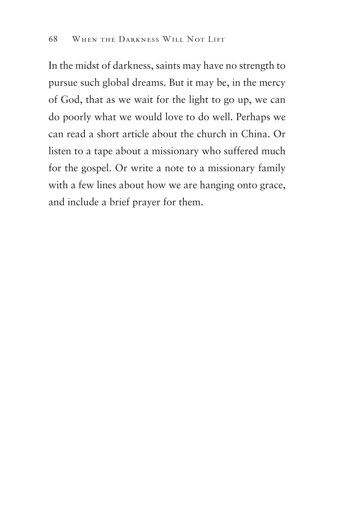In the midst of darkness, saints may have no strength to pursue such global dreams. But it may be, in the mercy of God, that as we wait for the light to go up, we can do poorly what we would love to do well. Perhaps we can read a short article about the church in China. Or listen to a tape about a missionary who suffered much for the gospel. Or write a note to a missionary family with a few lines about how we are hanging onto grace, and include a brief prayer for them.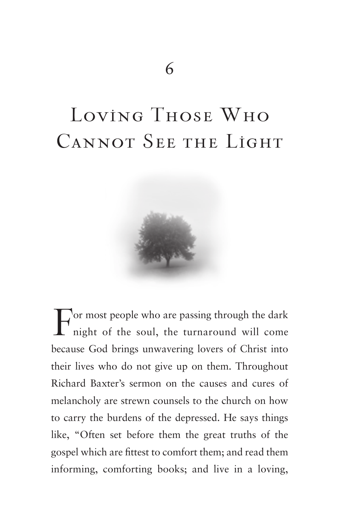# Loving Those Who CANNOT SEE THE LIGHT



For most people who are passing through the dark night of the soul, the turnaround will come because God brings unwavering lovers of Christ into their lives who do not give up on them. Throughout Richard Baxter's sermon on the causes and cures of melancholy are strewn counsels to the church on how to carry the burdens of the depressed. He says things like, "Often set before them the great truths of the gospel which are fittest to comfort them; and read them informing, comforting books; and live in a loving,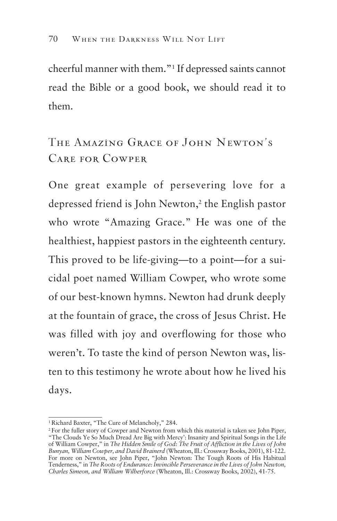cheerful manner with them."1 If depressed saints cannot read the Bible or a good book, we should read it to them.

## The Amazing Grace of John Newton's Care for Cowper

One great example of persevering love for a depressed friend is John Newton,<sup>2</sup> the English pastor who wrote "Amazing Grace." He was one of the healthiest, happiest pastors in the eighteenth century. This proved to be life-giving—to a point—for a suicidal poet named William Cowper, who wrote some of our best-known hymns. Newton had drunk deeply at the fountain of grace, the cross of Jesus Christ. He was filled with joy and overflowing for those who weren't. To taste the kind of person Newton was, listen to this testimony he wrote about how he lived his days.

<sup>1</sup> Richard Baxter, "The Cure of Melancholy," 284.

<sup>2</sup> For the fuller story of Cowper and Newton from which this material is taken see John Piper, "The Clouds Ye So Much Dread Are Big with Mercy': Insanity and Spiritual Songs in the Life of William Cowper," in *The Hidden Smile of God: The Fruit of Affliction in the Lives of John Bunyan, William Cowper, and David Brainerd* (Wheaton, Ill.: Crossway Books, 2001), 81-122.<br>For more on Newton, see John Piper, "John Newton: The Tough Roots of His Habitual Tenderness," in *The Roots of Endurance: Invincible Perseverance in the Lives of John Newton, Charles Simeon, and William Wilberforce* (Wheaton, Ill.: Crossway Books, 2002), 41-75.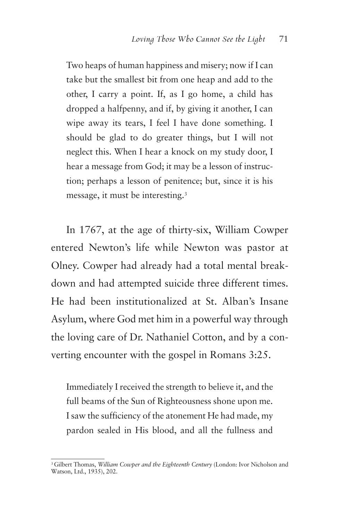Two heaps of human happiness and misery; now if I can take but the smallest bit from one heap and add to the other, I carry a point. If, as I go home, a child has dropped a halfpenny, and if, by giving it another, I can wipe away its tears, I feel I have done something. I should be glad to do greater things, but I will not neglect this. When I hear a knock on my study door, I hear a message from God; it may be a lesson of instruction; perhaps a lesson of penitence; but, since it is his message, it must be interesting.3

In 1767, at the age of thirty-six, William Cowper entered Newton's life while Newton was pastor at Olney. Cowper had already had a total mental breakdown and had attempted suicide three different times. He had been institutionalized at St. Alban's Insane Asylum, where God met him in a powerful way through the loving care of Dr. Nathaniel Cotton, and by a converting encounter with the gospel in Romans 3:25.

Immediately I received the strength to believe it, and the full beams of the Sun of Righteousness shone upon me. I saw the sufficiency of the atonement He had made, my pardon sealed in His blood, and all the fullness and

<sup>3</sup> Gilbert Thomas, *William Cowper and the Eighteenth Century* (London: Ivor Nicholson and Watson, Ltd., 1935), 202.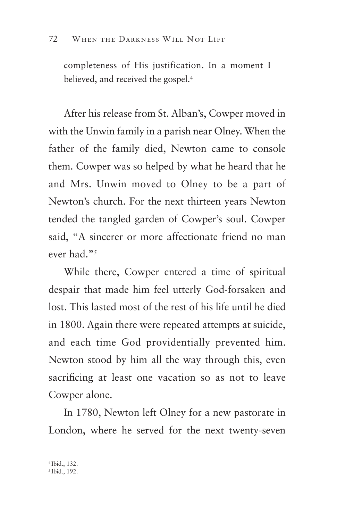completeness of His justification. In a moment I believed, and received the gospel.<sup>4</sup>

After his release from St. Alban's, Cowper moved in with the Unwin family in a parish near Olney. When the father of the family died, Newton came to console them. Cowper was so helped by what he heard that he and Mrs. Unwin moved to Olney to be a part of Newton's church. For the next thirteen years Newton tended the tangled garden of Cowper's soul. Cowper said, "A sincerer or more affectionate friend no man ever had."<sup>5</sup>

While there, Cowper entered a time of spiritual despair that made him feel utterly God-forsaken and lost. This lasted most of the rest of his life until he died in 1800. Again there were repeated attempts at suicide, and each time God providentially prevented him. Newton stood by him all the way through this, even sacrificing at least one vacation so as not to leave Cowper alone.

In 1780, Newton left Olney for a new pastorate in London, where he served for the next twenty-seven

<sup>4</sup> Ibid., 132.

<sup>5</sup> Ibid., 192.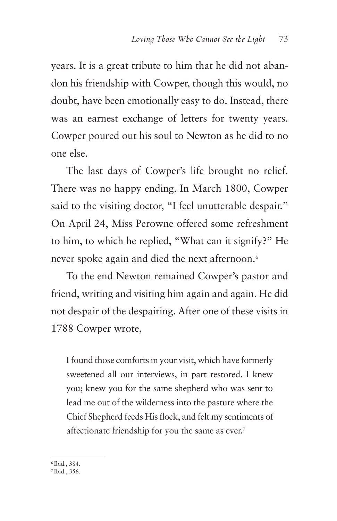years. It is a great tribute to him that he did not abandon his friendship with Cowper, though this would, no doubt, have been emotionally easy to do. Instead, there was an earnest exchange of letters for twenty years. Cowper poured out his soul to Newton as he did to no one else.

The last days of Cowper's life brought no relief. There was no happy ending. In March 1800, Cowper said to the visiting doctor, "I feel unutterable despair." On April 24, Miss Perowne offered some refreshment to him, to which he replied, "What can it signify?" He never spoke again and died the next afternoon.<sup>6</sup>

To the end Newton remained Cowper's pastor and friend, writing and visiting him again and again. He did not despair of the despairing. After one of these visits in 1788 Cowper wrote,

I found those comforts in your visit, which have formerly sweetened all our interviews, in part restored. I knew you; knew you for the same shepherd who was sent to lead me out of the wilderness into the pasture where the Chief Shepherd feeds His flock, and felt my sentiments of affectionate friendship for you the same as ever.<sup>7</sup>

6 Ibid., 384.

7 Ibid., 356.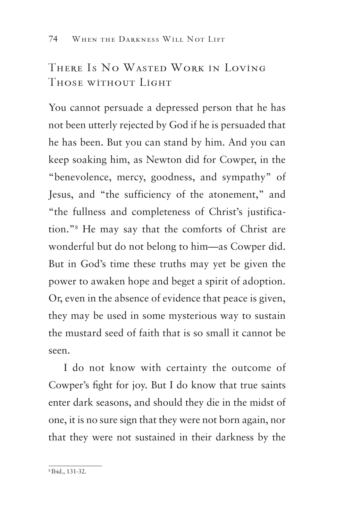### There Is No Wasted Work in Loving Those without Light

You cannot persuade a depressed person that he has not been utterly rejected by God if he is persuaded that he has been. But you can stand by him. And you can keep soaking him, as Newton did for Cowper, in the "benevolence, mercy, goodness, and sympathy" of Jesus, and "the sufficiency of the atonement," and "the fullness and completeness of Christ's justification."8 He may say that the comforts of Christ are wonderful but do not belong to him—as Cowper did. But in God's time these truths may yet be given the power to awaken hope and beget a spirit of adoption. Or, even in the absence of evidence that peace is given, they may be used in some mysterious way to sustain the mustard seed of faith that is so small it cannot be seen.

I do not know with certainty the outcome of Cowper's fight for joy. But I do know that true saints enter dark seasons, and should they die in the midst of one, it is no sure sign that they were not born again, nor that they were not sustained in their darkness by the

<sup>8</sup> Ibid., 131-32.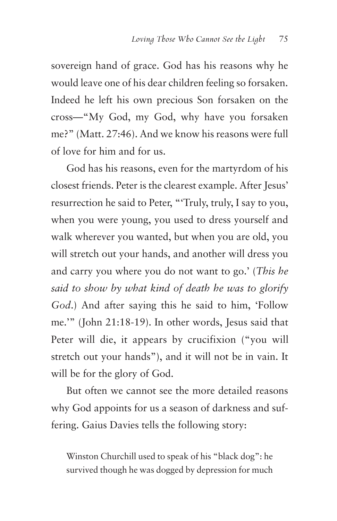sovereign hand of grace. God has his reasons why he would leave one of his dear children feeling so forsaken. Indeed he left his own precious Son forsaken on the cross—"My God, my God, why have you forsaken me?" (Matt. 27:46). And we know his reasons were full of love for him and for us.

God has his reasons, even for the martyrdom of his closest friends. Peter is the clearest example. After Jesus' resurrection he said to Peter, "'Truly, truly, I say to you, when you were young, you used to dress yourself and walk wherever you wanted, but when you are old, you will stretch out your hands, and another will dress you and carry you where you do not want to go.' (*This he said to show by what kind of death he was to glorify God*.) And after saying this he said to him, 'Follow me.'" (John 21:18-19). In other words, Jesus said that Peter will die, it appears by crucifixion ("you will stretch out your hands"), and it will not be in vain. It will be for the glory of God.

But often we cannot see the more detailed reasons why God appoints for us a season of darkness and suffering. Gaius Davies tells the following story:

Winston Churchill used to speak of his "black dog": he survived though he was dogged by depression for much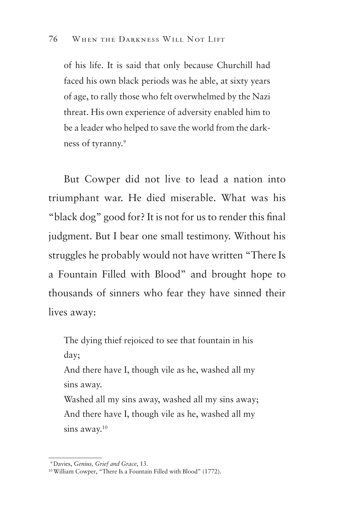of his life. It is said that only because Churchill had faced his own black periods was he able, at sixty years of age, to rally those who felt overwhelmed by the Nazi threat. His own experience of adversity enabled him to be a leader who helped to save the world from the darkness of tyranny.9

But Cowper did not live to lead a nation into triumphant war. He died miserable. What was his "black dog" good for? It is not for us to render this final judgment. But I bear one small testimony. Without his struggles he probably would not have written "There Is a Fountain Filled with Blood" and brought hope to thousands of sinners who fear they have sinned their lives away:

The dying thief rejoiced to see that fountain in his day;

And there have I, though vile as he, washed all my sins away.

Washed all my sins away, washed all my sins away; And there have I, though vile as he, washed all my sins away.<sup>10</sup>

<sup>9</sup> Davies, *Genius, Grief and Grace*, 13.

<sup>10</sup> William Cowper, "There Is a Fountain Filled with Blood" (1772).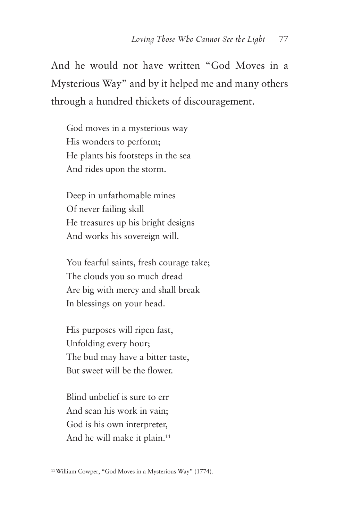And he would not have written "God Moves in a Mysterious Way" and by it helped me and many others through a hundred thickets of discouragement.

God moves in a mysterious way His wonders to perform; He plants his footsteps in the sea And rides upon the storm.

Deep in unfathomable mines Of never failing skill He treasures up his bright designs And works his sovereign will.

You fearful saints, fresh courage take; The clouds you so much dread Are big with mercy and shall break In blessings on your head.

His purposes will ripen fast, Unfolding every hour; The bud may have a bitter taste, But sweet will be the flower.

Blind unbelief is sure to err And scan his work in vain; God is his own interpreter, And he will make it plain.<sup>11</sup>

<sup>11</sup> William Cowper, "God Moves in a Mysterious Way" (1774).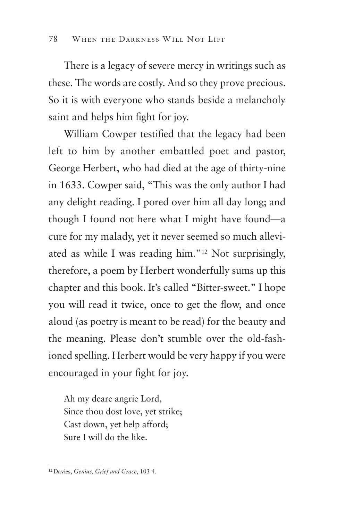There is a legacy of severe mercy in writings such as these. The words are costly. And so they prove precious. So it is with everyone who stands beside a melancholy saint and helps him fight for joy.

William Cowper testified that the legacy had been left to him by another embattled poet and pastor, George Herbert, who had died at the age of thirty-nine in 1633. Cowper said, "This was the only author I had any delight reading. I pored over him all day long; and though I found not here what I might have found—a cure for my malady, yet it never seemed so much alleviated as while I was reading him."12 Not surprisingly, therefore, a poem by Herbert wonderfully sums up this chapter and this book. It's called "Bitter-sweet." I hope you will read it twice, once to get the flow, and once aloud (as poetry is meant to be read) for the beauty and the meaning. Please don't stumble over the old-fashioned spelling. Herbert would be very happy if you were encouraged in your fight for joy.

Ah my deare angrie Lord, Since thou dost love, yet strike; Cast down, yet help afford; Sure I will do the like.

<sup>12</sup> Davies, *Genius, Grief and Grace*, 103-4.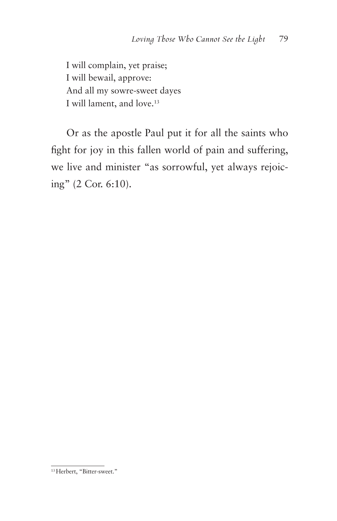I will complain, yet praise; I will bewail, approve: And all my sowre-sweet dayes I will lament, and love.<sup>13</sup>

Or as the apostle Paul put it for all the saints who fight for joy in this fallen world of pain and suffering, we live and minister "as sorrowful, yet always rejoicing" (2 Cor. 6:10).

<sup>13</sup> Herbert, "Bitter-sweet."